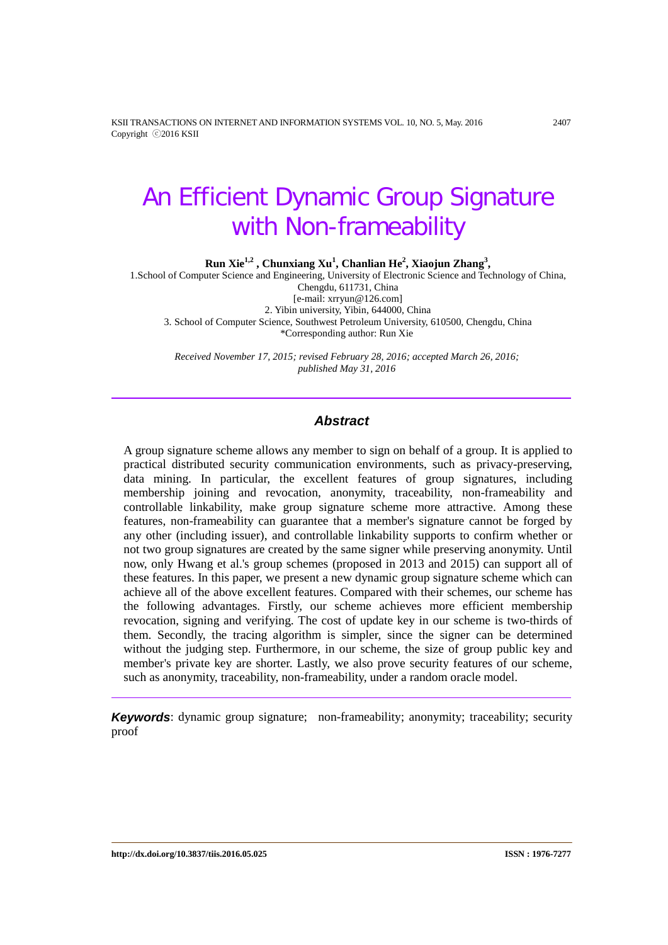KSII TRANSACTIONS ON INTERNET AND INFORMATION SYSTEMS VOL. 10, NO. 5, May. 2016 2407 Copyright ⓒ2016 KSII

# An Efficient Dynamic Group Signature with Non-frameability

**Run Xie1,2 , Chunxiang Xu1 , Chanlian He<sup>2</sup> , Xiaojun Zhang<sup>3</sup> ,** 

1.School of Computer Science and Engineering, University of Electronic Science and Technology of China, Chengdu, 611731, China [e-mail: xrryun@126.com] 2. Yibin university, Yibin, 644000, China 3. School of Computer Science, Southwest Petroleum University, 610500, Chengdu, China \*Corresponding author: Run Xie

*Received November 17, 2015; revised February 28, 2016; accepted March 26, 2016; published May 31, 2016*

## *Abstract*

A group signature scheme allows any member to sign on behalf of a group. It is applied to practical distributed security communication environments, such as privacy-preserving, data mining. In particular, the excellent features of group signatures, including membership joining and revocation, anonymity, traceability, non-frameability and controllable linkability, make group signature scheme more attractive. Among these features, non-frameability can guarantee that a member's signature cannot be forged by any other (including issuer), and controllable linkability supports to confirm whether or not two group signatures are created by the same signer while preserving anonymity. Until now, only Hwang et al.'s group schemes (proposed in 2013 and 2015) can support all of these features. In this paper, we present a new dynamic group signature scheme which can achieve all of the above excellent features. Compared with their schemes, our scheme has the following advantages. Firstly, our scheme achieves more efficient membership revocation, signing and verifying. The cost of update key in our scheme is two-thirds of them. Secondly, the tracing algorithm is simpler, since the signer can be determined without the judging step. Furthermore, in our scheme, the size of group public key and member's private key are shorter. Lastly, we also prove security features of our scheme, such as anonymity, traceability, non-frameability, under a random oracle model.

**Keywords:** dynamic group signature; non-frameability; anonymity; traceability; security proof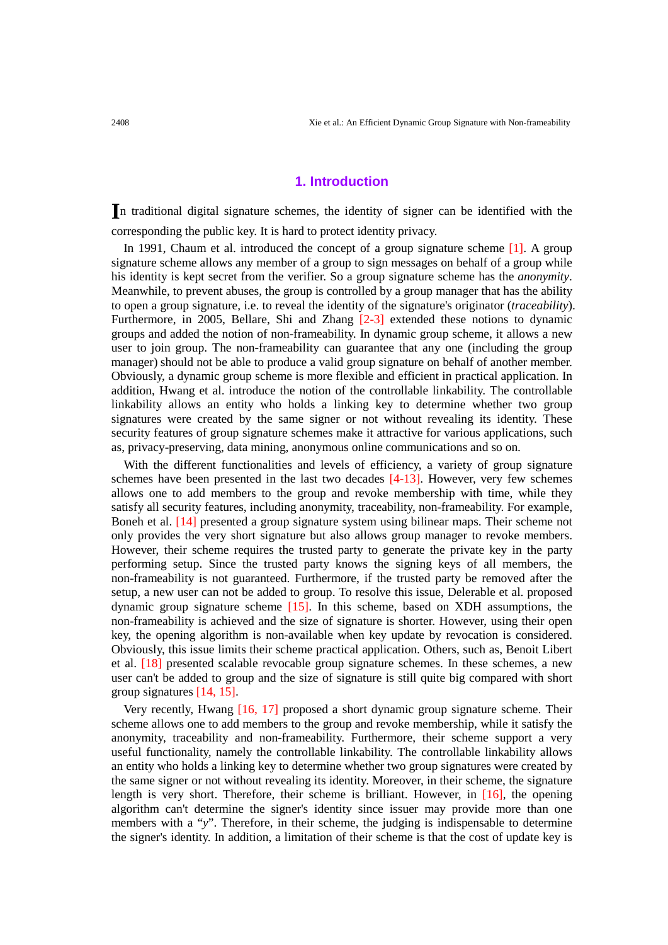## **1. Introduction**

**I**n traditional digital signature schemes, the identity of signer can be identified with the corresponding the public key. It is hard to protect identity privacy.

In 1991, Chaum et al. introduced the concept of a group signature scheme [1]. A group signature scheme allows any member of a group to sign messages on behalf of a group while his identity is kept secret from the verifier. So a group signature scheme has the *anonymity*. Meanwhile, to prevent abuses, the group is controlled by a group manager that has the ability to open a group signature, i.e. to reveal the identity of the signature's originator (*traceability*). Furthermore, in 2005, Bellare, Shi and Zhang [2-3] extended these notions to dynamic groups and added the notion of non-frameability. In dynamic group scheme, it allows a new user to join group. The non-frameability can guarantee that any one (including the group manager) should not be able to produce a valid group signature on behalf of another member. Obviously, a dynamic group scheme is more flexible and efficient in practical application. In addition, Hwang et al. introduce the notion of the controllable linkability. The controllable linkability allows an entity who holds a linking key to determine whether two group signatures were created by the same signer or not without revealing its identity. These security features of group signature schemes make it attractive for various applications, such as, privacy-preserving, data mining, anonymous online communications and so on.

With the different functionalities and levels of efficiency, a variety of group signature schemes have been presented in the last two decades [4-13]. However, very few schemes allows one to add members to the group and revoke membership with time, while they satisfy all security features, including anonymity, traceability, non-frameability. For example, Boneh et al. [14] presented a group signature system using bilinear maps. Their scheme not only provides the very short signature but also allows group manager to revoke members. However, their scheme requires the trusted party to generate the private key in the party performing setup. Since the trusted party knows the signing keys of all members, the non-frameability is not guaranteed. Furthermore, if the trusted party be removed after the setup, a new user can not be added to group. To resolve this issue, Delerable et al. proposed dynamic group signature scheme [15]. In this scheme, based on XDH assumptions, the non-frameability is achieved and the size of signature is shorter. However, using their open key, the opening algorithm is non-available when key update by revocation is considered. Obviously, this issue limits their scheme practical application. Others, such as, Benoit Libert et al. [18] presented scalable revocable group signature schemes. In these schemes, a new user can't be added to group and the size of signature is still quite big compared with short group signatures [14, 15].

 Very recently, Hwang [16, 17] proposed a short dynamic group signature scheme. Their scheme allows one to add members to the group and revoke membership, while it satisfy the anonymity, traceability and non-frameability. Furthermore, their scheme support a very useful functionality, namely the controllable linkability. The controllable linkability allows an entity who holds a linking key to determine whether two group signatures were created by the same signer or not without revealing its identity. Moreover, in their scheme, the signature length is very short. Therefore, their scheme is brilliant. However, in [16], the opening algorithm can't determine the signer's identity since issuer may provide more than one members with a "*y*". Therefore, in their scheme, the judging is indispensable to determine the signer's identity. In addition, a limitation of their scheme is that the cost of update key is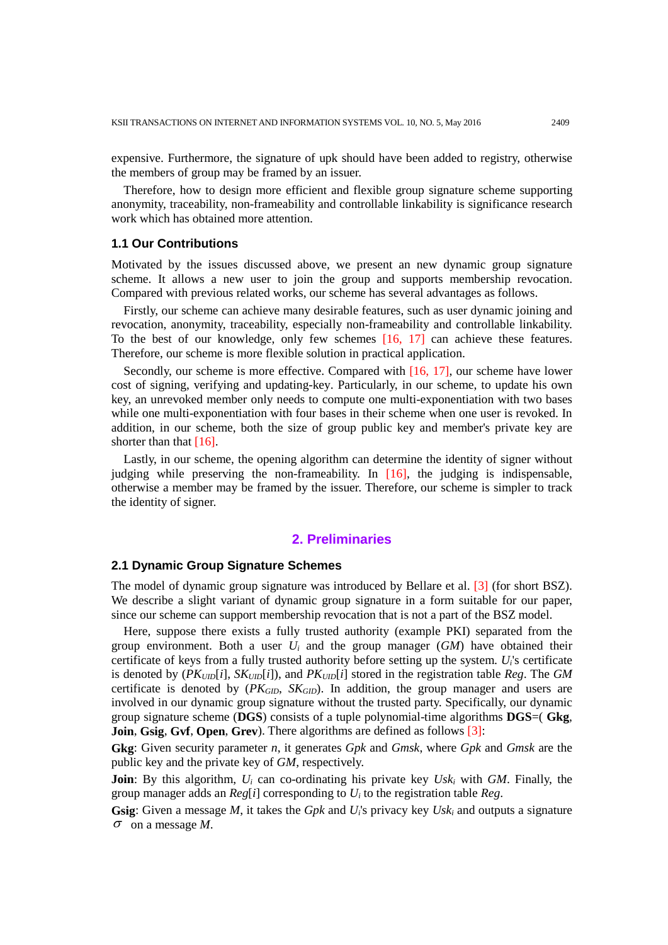expensive. Furthermore, the signature of upk should have been added to registry, otherwise the members of group may be framed by an issuer.

Therefore, how to design more efficient and flexible group signature scheme supporting anonymity, traceability, non-frameability and controllable linkability is significance research work which has obtained more attention.

## **1.1 Our Contributions**

Motivated by the issues discussed above, we present an new dynamic group signature scheme. It allows a new user to join the group and supports membership revocation. Compared with previous related works, our scheme has several advantages as follows.

Firstly, our scheme can achieve many desirable features, such as user dynamic joining and revocation, anonymity, traceability, especially non-frameability and controllable linkability. To the best of our knowledge, only few schemes [16, 17] can achieve these features. Therefore, our scheme is more flexible solution in practical application.

Secondly, our scheme is more effective. Compared with [16, 17], our scheme have lower cost of signing, verifying and updating-key. Particularly, in our scheme, to update his own key, an unrevoked member only needs to compute one multi-exponentiation with two bases while one multi-exponentiation with four bases in their scheme when one user is revoked. In addition, in our scheme, both the size of group public key and member's private key are shorter than that [16].

Lastly, in our scheme, the opening algorithm can determine the identity of signer without judging while preserving the non-frameability. In [16], the judging is indispensable, otherwise a member may be framed by the issuer. Therefore, our scheme is simpler to track the identity of signer.

## **2. Preliminaries**

# **2.1 Dynamic Group Signature Schemes**

The model of dynamic group signature was introduced by Bellare et al. [3] (for short BSZ). We describe a slight variant of dynamic group signature in a form suitable for our paper, since our scheme can support membership revocation that is not a part of the BSZ model.

Here, suppose there exists a fully trusted authority (example PKI) separated from the group environment. Both a user *Ui* and the group manager (*GM*) have obtained their certificate of keys from a fully trusted authority before setting up the system. *Ui*'s certificate is denoted by (*PKUID*[*i*], *SKUID*[*i*]), and *PKUID*[*i*] stored in the registration table *Reg*. The *GM* certificate is denoted by  $(PK_{GID}, SK_{GID})$ . In addition, the group manager and users are involved in our dynamic group signature without the trusted party. Specifically, our dynamic group signature scheme (**DGS**) consists of a tuple polynomial-time algorithms **DGS**=( **Gkg**, **Join**, **Gsig**, **Gvf**, **Open**, **Grev**). There algorithms are defined as follows [3]:

**Gkg**: Given security parameter *n*, it generates *Gpk* and *Gmsk*, where *Gpk* and *Gmsk* are the public key and the private key of *GM*, respectively.

**Join**: By this algorithm, *Ui* can co-ordinating his private key *Uski* with *GM*. Finally, the group manager adds an *Reg*[*i*] corresponding to *Ui* to the registration table *Reg*.

**Gsig**: Given a message *M*, it takes the *Gpk* and *Ui*'s privacy key *Uski* and outputs a signature <sup>σ</sup> on a message *M*.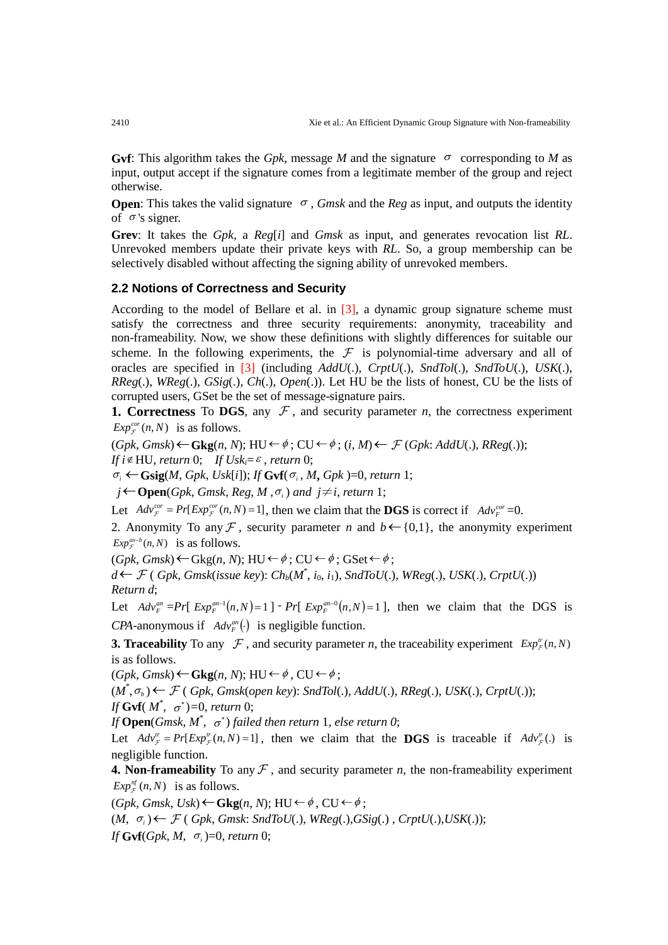**Gvf**: This algorithm takes the *Gpk*, message *M* and the signature  $\sigma$  corresponding to *M* as input, output accept if the signature comes from a legitimate member of the group and reject otherwise.

**Open**: This takes the valid signature  $\sigma$ , *Gmsk* and the *Reg* as input, and outputs the identity of  $\sigma$ 's signer.

**Grev**: It takes the *Gpk*, a *Reg*[*i*] and *Gmsk* as input, and generates revocation list *RL*. Unrevoked members update their private keys with *RL*. So, a group membership can be selectively disabled without affecting the signing ability of unrevoked members.

# **2.2 Notions of Correctness and Security**

According to the model of Bellare et al. in [3], a dynamic group signature scheme must satisfy the correctness and three security requirements: anonymity, traceability and non-frameability. Now, we show these definitions with slightly differences for suitable our scheme. In the following experiments, the  $\mathcal F$  is polynomial-time adversary and all of oracles are specified in [3] (including *AddU*(.), *CrptU*(.), *SndTol*(.), *SndToU*(.), *USK*(.), *RReg*(.), *WReg*(.), *GSig*(.), *Ch*(.), *Open*(.)). Let HU be the lists of honest, CU be the lists of corrupted users, GSet be the set of message-signature pairs.

**1. Correctness** To **DGS**, any  $\mathcal{F}$ , and security parameter *n*, the correctness experiment  $Exp_{\tau}^{cor}(n, N)$  is as follows.

(*Gpk*, *Gmsk*)←**Gkg**(*n*, *N*); HU ←<sup>φ</sup> ; CU ←<sup>φ</sup> ; (*i*, *M*)← (*Gpk*: *AddU*(.), *RReg*(.)); *If*  $i \notin HU$ , *return* 0; *If*  $Usk_i = \varepsilon$ , *return* 0;

<sup>σ</sup> *<sup>i</sup>* ←**Gsig**(*M*, *Gpk*, *Usk*[*i*]); *If* **Gvf**(<sup>σ</sup> *<sup>i</sup>* , *M***,** *Gpk* )=0*, return* 1;

*j*←**Open**(*Gpk, Gmsk, Reg, M,* $\sigma$ *<sub><i>i*</sub>) and *j*≠*i, return* 1;

Let  $Adv_{\mathcal{F}}^{cor} = Pr[Exp_{\mathcal{F}}^{cor}(n, N) = 1]$ , then we claim that the **DGS** is correct if  $Adv_{\mathcal{F}}^{cor} = 0$ .

2. Anonymity To any F, security parameter *n* and  $b \leftarrow \{0,1\}$ , the anonymity experiment  $Exp_{\mathcal{F}}^{an-b}(n, N)$  is as follows.

 $(Gpk, Gmsk) \leftarrow Gkg(n, N); HU \leftarrow \phi$ ; CU $\leftarrow \phi$ ; GSet $\leftarrow \phi$ ;

*d*←  $\mathcal{F}$  ( *Gpk*, *Gmsk*(*issue key*):  $Ch_b(M^*, i_0, i_1)$ , *SndToU*(.), *WReg*(.), *USK*(.), *CrptU*(.)) *Return d*;

Let  $Adv_F^{an} = Pr[Exp_F^{an-1}(n,N) = 1] - Pr[Exp_F^{an-0}(n,N) = 1]$ , then we claim that the DGS is *CPA*-anonymous if  $Adv_{F}^{an}(\cdot)$  is negligible function.

**3. Traceability** To any  $\mathcal F$ , and security parameter *n*, the traceability experiment  $Exp^{\mu}_{\mathcal F}(n, N)$ is as follows.

 $(Gpk, Gmsk)$  ← **Gkg**(*n*, *N*); HU ←  $\phi$ , CU ←  $\phi$ ;

(*M*\* ,<sup>σ</sup> *<sup>b</sup>* )← ( *Gpk*, *Gmsk*(*open key*): *SndTol*(.), *AddU*(.), *RReg*(.), *USK*(.), *CrptU*(.)); *If* **Gvf**( $M^*$ ,  $\sigma^*$ )=0, *return* 0;

*If*  $\mathbf{Open}(Gmsk, M^*, \ \sigma^*)$  failed then return 1, else return 0;

Let  $Adv^{\prime\prime}_{\tau} = Pr[Exp^{\prime\prime}(n, N) = 1]$ , then we claim that the **DGS** is traceable if  $Adv^{\prime\prime}_{\tau}$ . is negligible function.

**4. Non-frameability** To any  $\mathcal F$ , and security parameter *n*, the non-frameability experiment  $Exp_{\tau}^{nf}(n, N)$  is as follows.

 $(Gpk, Gmsk, Usk)$  ←  $Gkg(n, N)$ ; HU ←  $\phi$ , CU ←  $\phi$ ;

 $(M, \sigma_i)$  ←  $\mathcal{F}$  (*Gpk, Gmsk: SndToU*(.), *WReg*(.), *GSig*(.), *CrptU*(.), *USK*(.));

*If* **Gvf**( $Gpk$ ,  $M$ ,  $\sigma$ <sub>*i*</sub>)=0, *return* 0;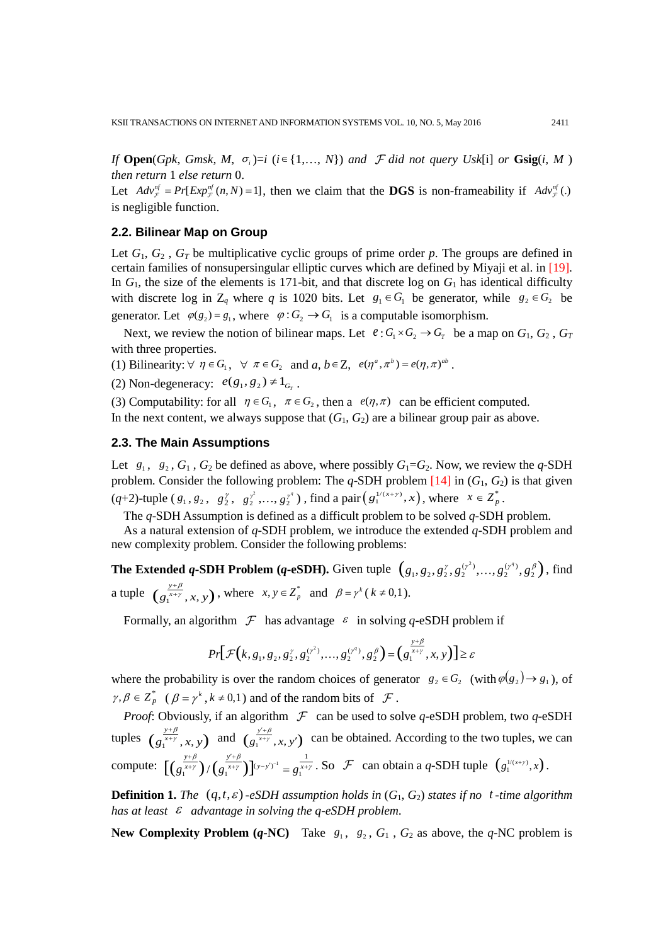*If* **Open**(*Gpk, Gmsk, M,*  $\sigma_i$ *)=i (i∈{1,…, <i>N*}) *and*  $\mathcal F$  *did not query Usk*[i] *or* **Gsig**(*i, M*) *then return* 1 *else return* 0.

Let  $Adv^{\eta}_{\tau} = Pr[Exp^{\eta}_{\tau}(n, N) = 1]$ , then we claim that the **DGS** is non-frameability if  $Adv^{\eta}_{\tau}(.)$ is negligible function.

#### **2.2. Bilinear Map on Group**

Let  $G_1, G_2, G_T$  be multiplicative cyclic groups of prime order p. The groups are defined in certain families of nonsupersingular elliptic curves which are defined by Miyaji et al. in [19]. In *G*1, the size of the elements is 171-bit, and that discrete log on *G*<sup>1</sup> has identical difficulty with discrete log in  $Z_q$  where q is 1020 bits. Let  $g_1 \in G_1$  be generator, while  $g_2 \in G_2$  be generator. Let  $\varphi(g_2) = g_1$ , where  $\varphi: G_2 \to G_1$  is a computable isomorphism.

Next, we review the notion of bilinear maps. Let  $e: G_1 \times G_2 \to G_T$  be a map on  $G_1, G_2, G_T$ with three properties.

(1) Bilinearity:  $\forall \eta \in G_1$ ,  $\forall \pi \in G_2$  and  $a, b \in \mathbb{Z}$ ,  $e(\eta^a, \pi^b) = e(\eta, \pi)^{ab}$ .

(2) Non-degeneracy:  $e(g_1, g_2) \neq 1_{G_r}$ .

(3) Computability: for all  $\eta \in G_1$ ,  $\pi \in G_2$ , then a  $e(\eta, \pi)$  can be efficient computed.

In the next content, we always suppose that  $(G_1, G_2)$  are a bilinear group pair as above.

## **2.3. The Main Assumptions**

Let  $g_1$ ,  $g_2$ ,  $G_1$ ,  $G_2$  be defined as above, where possibly  $G_1 = G_2$ . Now, we review the *q*-SDH problem. Consider the following problem: The  $q$ -SDH problem  $[14]$  in  $(G_1, G_2)$  is that given  $(q+2)$ -tuple  $(g_1, g_2, g_2^{\gamma}, g_2^{\gamma^2}, \dots, g_2^{\gamma^q})$ , find a pair  $(g_1^{(1(x+\gamma)}, x)$ , where  $x \in Z_p^*$ .

The *q*-SDH Assumption is defined as a difficult problem to be solved *q*-SDH problem.

As a natural extension of *q*-SDH problem, we introduce the extended *q*-SDH problem and new complexity problem. Consider the following problems:

**The Extended** *q***-SDH Problem (***q***-eSDH).** Given tuple  $(g_1, g_2, g_2^{\gamma}, g_2^{(\gamma^2)},..., g_2^{(\gamma^q)}, g_2^{\beta})$ , find a tuple  $(g_1^{y+\beta}, x, y)$ , where  $x, y \in Z_p^*$  and  $\beta = \gamma^k (k \neq 0, 1)$ .

Formally, an algorithm  $\mathcal F$  has advantage  $\varepsilon$  in solving *q*-eSDH problem if

$$
Pr[\mathcal{F}(k, g_1, g_2, g_2^{\gamma}, g_2^{(\gamma^2)}, \dots, g_2^{(\gamma^q)}, g_2^{\beta}) = (g_1^{\frac{y+\beta}{x+\gamma}}, x, y)] \ge \varepsilon
$$

where the probability is over the random choices of generator  $g_2 \in G_2$  (with  $\varphi(g_2) \to g_1$ ), of  $\gamma, \beta \in \overline{Z}_{p}^{*}$  ( $\beta = \gamma^{k}, k \neq 0,1$ ) and of the random bits of  $\mathcal F$ .

*Proof*: Obviously, if an algorithm  $\mathcal F$  can be used to solve *q*-eSDH problem, two *q*-eSDH tuples  $(g_i^{\frac{y+\beta}{x+y}}, x, y)$  and  $(g_i^{\frac{y'+\beta}{x+y}}, x, y')$  can be obtained. According to the two tuples, we can compute:  $\left[ \left( \frac{y+\beta}{\alpha^{x+\gamma}} \right) / \left( \frac{y'+\beta}{\alpha^{x+\gamma}} \right) \right] (y-y')^{-1} = \alpha^{x+\beta}$  $\left[ \left( g_1^{\frac{y+\beta}{x+y}} \right) / \left( g_1^{\frac{y'+\beta}{x+y}} \right) \right]^{(y-y')^{-1}} = g_1^{\frac{y}{y}}$  $g_1^{\frac{y+\beta}{x+\gamma}}$ ) /  $(g_1^{\frac{y'+\beta}{x+\gamma}})$ ]<sup>(y-y')<sup>-1</sup></sup> =  $g_1^{\frac{y}{x+\gamma}}$ ·1  $\int_{\frac{f(x)}{x}}^{\frac{f'(x)}{x}} f(x,y) e^{-\frac{f'(x)}{x}} dx = g(x) + S$  can obtain a *q*-SDH tuple  $(g(x)$   $(x+y)$ .

**Definition 1.** *The*  $(q, t, \varepsilon)$  *-eSDH* assumption holds in  $(G_1, G_2)$  states if no t-time algorithm *has at least* <sup>ε</sup> *advantage in solving the q-eSDH problem*.

**New Complexity Problem (***q***-NC**) Take  $g_1$ ,  $g_2$ ,  $G_1$ ,  $G_2$  as above, the *q*-NC problem is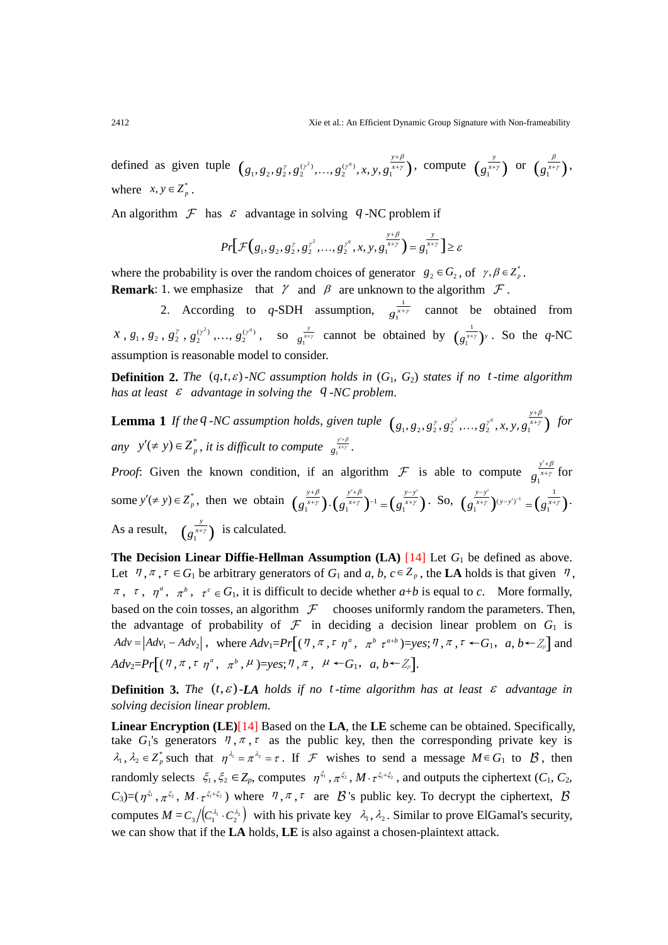defined as given tuple  $(g_1, g_2, g_2^{\gamma}, g_2^{(\gamma^2)}, ..., g_2^{(\gamma^q)}, x, y, g_1^{\frac{y+\beta}{x+y}})$  $g_1, g_2, g_2^{\gamma}, g_2^{(\gamma^z)}, ..., g_2^{(\gamma^q)}, x, y, g_1^{\gamma^q}$ β ggg g ...,  $g_2^{y+\beta}$ , *x*, *y*,  $g_1^{\frac{y+\beta}{x+y}}$ , compute  $(g_1^{\frac{y}{x+y}})$  or  $(g_1^{\frac{\beta}{x+y}})$ . where  $x, y \in Z_n^*$ .

An algorithm  $\mathcal F$  has  $\mathcal \varepsilon$  advantage in solving  $q$ -NC problem if

$$
Pr\big[\mathcal{F}(g_1, g_2, g_2^{\gamma}, g_2^{\gamma^2}, \dots, g_2^{\gamma^q}, x, y, g_1^{\frac{y+\beta}{x+\gamma}}\big) = g_1^{\frac{y}{x+\gamma}}\big] \ge \varepsilon
$$

where the probability is over the random choices of generator  $g_2 \in G_2$ , of  $\gamma, \beta \in Z_p^*$ . **Remark**: 1. we emphasize that  $\gamma$  and  $\beta$  are unknown to the algorithm  $\mathcal{F}$ .

2. According to *q*-SDH assumption,  $g_1^{\frac{1}{x+y}}$  cannot be obtained from  $x, g_1, g_2, g_2^{\gamma}, g_2^{(\gamma^2)}, ..., g_2^{(\gamma^q)}$  $g_2^{(y^q)}$ , so  $g_i^{\frac{y}{x+y}}$  cannot be obtained by  $(g_i^{\frac{1}{x+y}})^y$ . So the *q*-NC assumption is reasonable model to consider.

**Definition 2.** The  $(q, t, \varepsilon)$  *-NC* assumption holds in  $(G_1, G_2)$  states if no t-time algorithm *has at least* <sup>ε</sup> *advantage in solving the q -NC problem*.

**Lemma** 1 If the *q -NC* assumption holds, given tuple  $(g_1, g_2, g_2^{\gamma}, g_2^{\gamma^2}, ..., g_2^{\gamma^q}, x, y, g_1^{\frac{y+\beta}{4}})$  $g_1, g_2, g_2^{\gamma}, g_2^{\gamma^2}, \ldots, g_2^{\gamma^q}, x, y, g_1^{\alpha+\gamma}$ β γ  $..., g_2^{\gamma^q}, x, y, g_1^{\frac{y+\beta}{x+\gamma}}$  for *any*  $y'(\neq y) \in Z_p^*$ , *it is difficult to compute*  $g_i^{\frac{y+\beta}{x+y}}$ .

*Proof:* Given the known condition, if an algorithm  $\mathcal F$  is able to compute  $g_1^{\frac{1}{2}}$  $g_1^{x+\gamma}$  $\frac{\sqrt{4\beta}}{\sqrt{4\pi}}$  for some  $y'(\neq y) \in Z_p^*$ , then we obtain  $(g_1^{\frac{y+\beta}{x+y}}) \cdot (g_1^{\frac{y'+\beta}{x+y}})^{-1} = (g_1^{\frac{y-y'}{x+y}})$  $\beta$   $y'+\beta$  $\gamma$  1.1  $\alpha$   $x+y$  1<sup>-1</sup>  $=$  1  $\alpha$   $x+y$  $\frac{f+\beta}{f+\gamma}\big)\cdot\Big(g_1^{\frac{y'+\beta}{x+\gamma}}\Big)^{-1}=\Big(g_1^{\frac{y-y'}{x+\gamma}}\Big)\cdot \ \ \text{So},\ \ \Big(g_1^{\frac{y-y'}{x+\gamma}}\Big)^{(y-y')^{-1}}=\Big(g_1^{\frac{1}{x+\gamma}}\Big)$  $(g_1^{\frac{y-y'}{x+y}})^{(y-y')^{-1}} = (g_1^{\frac{1}{x+y}})^{-1}$ As a result,  $\left( g_1^{\frac{y}{x+y}} \right)$  is calculated.

**The Decision Linear Diffie-Hellman Assumption**  $(LA)$  $[14]$  **Let**  $G_1$  **be defined as above.** Let  $\eta$ ,  $\pi$ ,  $\tau \in G_1$  be arbitrary generators of  $G_1$  and  $a, b, c \in Z_p$ , the LA holds is that given  $\eta$ ,  $\pi$ ,  $\tau$ ,  $\eta^a$ ,  $\pi^b$ ,  $\tau^c \in G_1$ , it is difficult to decide whether  $a+b$  is equal to *c*. More formally, based on the coin tosses, an algorithm  $\mathcal F$  chooses uniformly random the parameters. Then, the advantage of probability of  $\mathcal F$  in deciding a decision linear problem on  $G_1$  is  $Adv_1 = |Adv_1 - Adv_2|$ , where  $Adv_1 = Pr[(\eta, \pi, \tau \eta^a, \pi^b \tau^{a+b}) = yes; \eta, \pi, \tau \leftarrow G_1, a, b \leftarrow Z_p]$  and  $Adv_2=Pr[(\eta, \pi, \tau, \eta^a, \pi^b, \mu)=yes;\eta, \pi, \mu \leftarrow G_1, a, b \leftarrow Z_p].$ 

**Definition** 3. The  $(t, \varepsilon)$ -LA holds if no t-time algorithm has at least  $\varepsilon$  advantage in *solving decision linear problem*.

**Linear Encryption (LE)**[14] Based on the **LA**, the **LE** scheme can be obtained. Specifically, take  $G_1$ 's generators  $\eta$ ,  $\pi$ ,  $\tau$  as the public key, then the corresponding private key is  $\lambda_1, \lambda_2 \in Z_p^*$  such that  $\eta^{\lambda_1} = \pi^{\lambda_2} = \tau$ . If  $\mathcal F$  wishes to send a message  $M \in G_1$  to  $\mathcal B$ , then randomly selects  $\xi_1, \xi_2 \in Z_p$ , computes  $\eta^{\xi_1}, \pi^{\xi_2}$ ,  $M \cdot \tau^{\xi_1 + \xi_2}$ , and outputs the ciphertext  $(C_1, C_2,$  $C_3$ =( $\eta^{\xi_1}$ ,  $\pi^{\xi_2}$ ,  $M \cdot \tau^{\xi_1 + \xi_2}$ ) where  $\eta$ ,  $\pi$ ,  $\tau$  are  $\beta$ 's public key. To decrypt the ciphertext,  $\beta$ computes  $M = C_3 / (C_1^{\lambda_1} \cdot C_2^{\lambda_2})$  with his private key  $\lambda_1, \lambda_2$ . Similar to prove ElGamal's security, we can show that if the **LA** holds, **LE** is also against a chosen-plaintext attack.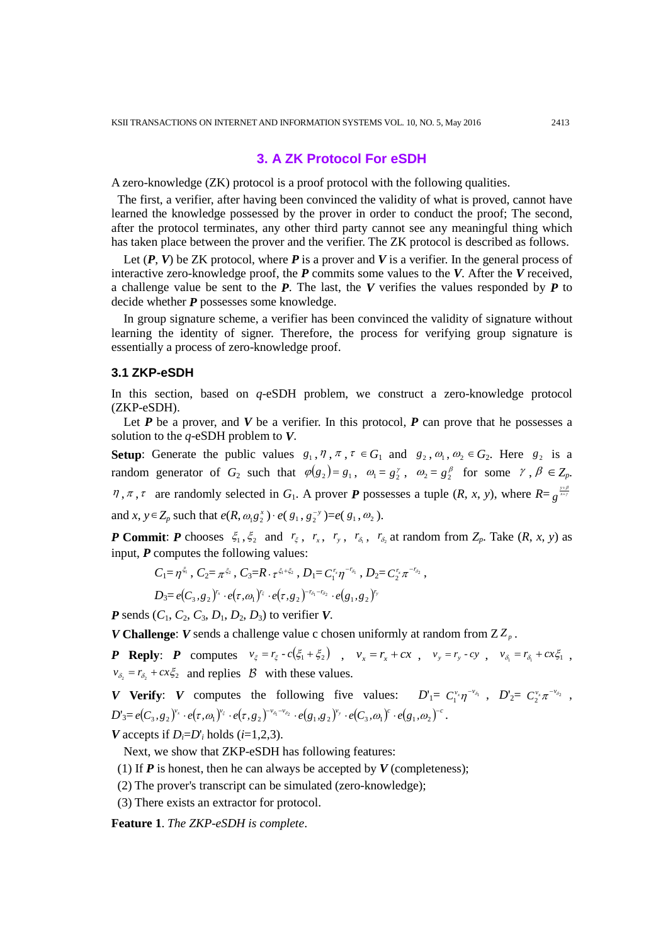# **3. A ZK Protocol For eSDH**

A zero-knowledge (ZK) protocol is a proof protocol with the following qualities.

The first, a verifier, after having been convinced the validity of what is proved, cannot have learned the knowledge possessed by the prover in order to conduct the proof; The second, after the protocol terminates, any other third party cannot see any meaningful thing which has taken place between the prover and the verifier. The ZK protocol is described as follows.

Let  $(P, V)$  be ZK protocol, where P is a prover and V is a verifier. In the general process of interactive zero-knowledge proof, the *P* commits some values to the *V*. After the *V* received, a challenge value be sent to the *P*. The last, the *V* verifies the values responded by *P* to decide whether *P* possesses some knowledge.

In group signature scheme, a verifier has been convinced the validity of signature without learning the identity of signer. Therefore, the process for verifying group signature is essentially a process of zero-knowledge proof.

#### **3.1 ZKP-eSDH**

In this section, based on *q*-eSDH problem, we construct a zero-knowledge protocol (ZKP-eSDH).

Let *P* be a prover, and *V* be a verifier. In this protocol, *P* can prove that he possesses a solution to the *q*-eSDH problem to *V*.

**Setup**: Generate the public values  $g_1, \eta, \pi, \tau \in G_1$  and  $g_2, \omega_1, \omega_2 \in G_2$ . Here  $g_2$  is a random generator of  $G_2$  such that  $\varphi(g_2) = g_1, \ \omega_1 = g_2^{\gamma}, \ \omega_2 = g_2^{\beta}$  for some  $\gamma, \beta \in Z_p$ .  $\eta$ ,  $\pi$ ,  $\tau$  are randomly selected in  $G_1$ . A prover *P* possesses a tuple  $(R, x, y)$ , where  $R = g^{\frac{y+\beta}{x+y}}$ and *x*, *y*∈ *Z<sub>p</sub>* such that *e*(*R*,  $\omega_1 g_2^x$ )⋅ *e*(  $g_1$ ,  $g_2^{-y}$ )=*e*(  $g_1$ ,  $\omega_2$ ).

*P* **Commit:** *P* chooses  $\xi_1, \xi_2$  and  $r_\xi$ ,  $r_x$ ,  $r_y$ ,  $r_{\delta_1}$ ,  $r_{\delta_2}$  at random from  $Z_p$ . Take  $(R, x, y)$  as input, *P* computes the following values:

$$
C_1 = \eta^{\xi_1}, C_2 = \pi^{\xi_2}, C_3 = R \cdot \tau^{\xi_1 + \xi_2}, D_1 = C_1^{r_x} \eta^{-r_{\delta_1}}, D_2 = C_2^{r_x} \pi^{-r_{\delta_2}},
$$

$$
D_3 = e(C_3, g_2)^{r_x} \cdot e(\tau, \omega_1)^{r_{\xi}} \cdot e(\tau, g_2)^{-r_{\delta_1} - r_{\delta_2}} \cdot e(g_1, g_2)^{r_y}
$$

*P* sends  $(C_1, C_2, C_3, D_1, D_2, D_3)$  to verifier *V*.

*V* **Challenge**: *V* sends a challenge value c chosen uniformly at random from  $ZZ_p$ .

**P** Reply: **P** computes  $v_{\xi} = r_{\xi} - c(\xi_1 + \xi_2)$ ,  $v_x = r_x + cx$ ,  $v_y = r_y - cy$ ,  $v_{\delta_1} = r_{\delta_1} + cx_{\delta_1}$ ,  $v_{\delta_2} = r_{\delta_2} + cx \xi_2$  and replies  $\beta$  with these values.

*V* **Verify**: *V* computes the following five values:  $D'_1 = C_1^{v_x} \eta^{-v_{\delta_1}}$ ,  $D'_2 = C_2^{v_x} \pi^{-v_{\delta_2}}$ ,  $D'_3 = e(C_3, g_2)^{\nu_x} \cdot e(\tau, \omega_1)^{\nu_{\xi}} \cdot e(\tau, g_2)^{-\nu_{\delta_1}-\nu_{\delta_2}} \cdot e(g_1, g_2)^{\nu_y} \cdot e(C_3, \omega_1)^c \cdot e(g_1, \omega_2)^{-c}.$ *V* accepts if  $D_i=D'_i$  holds ( $i=1,2,3$ ).

Next, we show that ZKP-eSDH has following features:

(1) If  $P$  is honest, then he can always be accepted by  $V$  (completeness);

(2) The prover's transcript can be simulated (zero-knowledge);

(3) There exists an extractor for protocol.

**Feature 1**. *The ZKP-eSDH is complete*.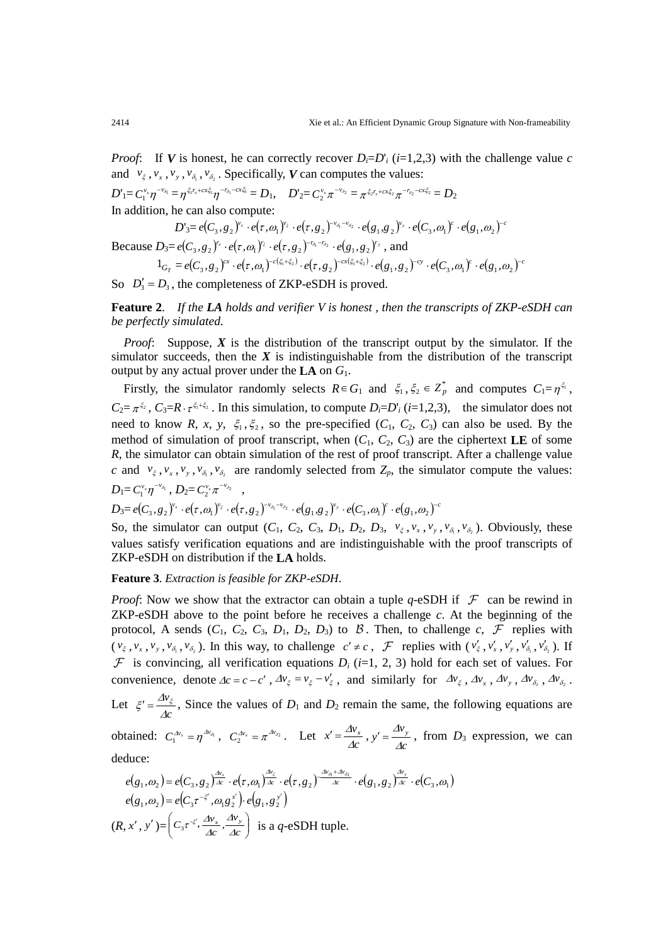*Proof*: If *V* is honest, he can correctly recover  $D_i = D_i$ <sup>'</sup>*i* (*i*=1,2,3) with the challenge value *c* and  $v_{\xi}$ ,  $v_{x}$ ,  $v_{y}$ ,  $v_{\delta_1}$ ,  $v_{\delta_2}$ . Specifically, *V* can computes the values:

 $D'_{1} = C_1^{v_x} \eta^{-v_{\delta_1}} = \eta^{\xi_I r_x + c x \xi_1} \eta^{-r_{\delta_1} - c x \xi_1} = D_1, \quad D'_{2} = C_2^{v_x} \pi^{-v_{\delta_2}} = \pi^{\xi_2 r_x + c x \xi_2} \pi^{-r_{\delta_2} - c x \xi_2} = D_2$ In addition, he can also compute:

$$
D_3 = e(C_3, g_2)^{v_x} \cdot e(\tau, \omega_1)^{v_{\xi}} \cdot e(\tau, g_2)^{-v_{\delta_1} - v_{\delta_2}} \cdot e(g_1, g_2)^{v_{\gamma}} \cdot e(C_3, \omega_1)^{c} \cdot e(g_1, \omega_2)^{-c}
$$
  
Because  $D_3 = e(C_3, g_2)^{r_x} \cdot e(\tau, \omega_1)^{r_{\xi}} \cdot e(\tau, g_2)^{-r_{\delta_1} - r_{\delta_2}} \cdot e(g_1, g_2)^{r_{\gamma}}$ , and  

$$
1_{G_T} = e(C_3, g_2)^{cx} \cdot e(\tau, \omega_1)^{-c(\xi_1 + \xi_2)} \cdot e(\tau, g_2)^{-cx(\xi_1 + \xi_2)} \cdot e(g_1, g_2)^{-cy} \cdot e(C_3, \omega_1)^{c} \cdot e(g_1, \omega_2)^{-c}
$$

So  $D'_3 = D_3$ , the completeness of ZKP-eSDH is proved.

**Feature 2**. *If the LA holds and verifier V is honest , then the transcripts of ZKP-eSDH can be perfectly simulated*.

*Proof*: Suppose, *X* is the distribution of the transcript output by the simulator. If the simulator succeeds, then the  $X$  is indistinguishable from the distribution of the transcript output by any actual prover under the **LA** on *G*1.

Firstly, the simulator randomly selects  $R \in G_1$  and  $\xi_1, \xi_2 \in Z_p^*$  and computes  $C_1 = \eta^{\xi_1}$ ,  $C_2 = \pi^{\xi_2}$ ,  $C_3 = R \cdot \tau^{\xi_1 + \xi_2}$ . In this simulation, to compute  $D_i = D_i$ <sup>'</sup>*i* (*i*=1,2,3), the simulator does not need to know *R*, *x*, *y*,  $\xi_1$ ,  $\xi_2$ , so the pre-specified (*C*<sub>1</sub>, *C*<sub>2</sub>, *C*<sub>3</sub>) can also be used. By the method of simulation of proof transcript, when  $(C_1, C_2, C_3)$  are the ciphertext **LE** of some *R*, the simulator can obtain simulation of the rest of proof transcript. After a challenge value *c* and  $v_{\xi}$ ,  $v_{x}$ ,  $v_{y}$ ,  $v_{\delta_1}$ ,  $v_{\delta_2}$  are randomly selected from  $Z_p$ , the simulator compute the values:  $D_1 = C_1^{\nu_x} \eta^{-\nu_{\delta_1}}$ ,  $D_2 = C_2^{\nu_x} \pi^{-\nu_{\delta_2}}$ ,

$$
D_3 = e(C_3, g_2)^{v_x} \cdot e(\tau, \omega_1)^{v_{\varepsilon}} \cdot e(\tau, g_2)^{-v_{\delta_1} - v_{\delta_2}} \cdot e(g_1, g_2)^{v_y} \cdot e(C_3, \omega_1)^c \cdot e(g_1, \omega_2)^{-c}
$$

So, the simulator can output  $(C_1, C_2, C_3, D_1, D_2, D_3, \nu_{\xi}, \nu_x, \nu_y, \nu_{\delta_1}, \nu_{\delta_2})$ . Obviously, these values satisfy verification equations and are indistinguishable with the proof transcripts of ZKP-eSDH on distribution if the **LA** holds.

**Feature 3**. *Extraction is feasible for ZKP-eSDH*.

*Proof*: Now we show that the extractor can obtain a tuple *q*-eSDH if  $\mathcal F$  can be rewind in ZKP-eSDH above to the point before he receives a challenge *c*. At the beginning of the protocol, A sends  $(C_1, C_2, C_3, D_1, D_2, D_3)$  to  $\beta$ . Then, to challenge  $c, \mathcal{F}$  replies with  $(v_{\xi}, v_x, v_y, v_{\delta_1}, v_{\delta_2})$ . In this way, to challenge  $c' \neq c$ ,  $\mathcal{F}$  replies with  $(v_{\xi}', v_x', v_y', v_{\delta_1}', v_{\delta_2}')$ . If  $\mathcal F$  is convincing, all verification equations  $D_i$  (*i*=1, 2, 3) hold for each set of values. For convenience, denote  $\Delta c = c - c'$ ,  $\Delta v_{\xi} = v_{\xi} - v'_{\xi}$ , and similarly for  $\Delta v_{\xi}$ ,  $\Delta v_{x}$ ,  $\Delta v_{y}$ ,  $\Delta v_{\delta_1}$ ,  $\Delta v_{\delta_2}$ .

Let  $\xi' = \frac{\Delta V_d}{\Delta c}$ *v* ∆  $\zeta = \frac{\Delta v_{\zeta}}{\Delta}$ , Since the values of *D*<sub>1</sub> and *D*<sub>2</sub> remain the same, the following equations are

obtained:  $C_1^{Av_x} = \eta^{Av_{\delta_1}}$ ,  $C_2^{Av_x} = \pi^{Av_{\delta_2}}$ . Let  $x' = \frac{\Delta v_x}{\Delta c}$  $x' = \frac{\Delta v_x}{\Delta c}$ ,  $y' = \frac{\Delta v_y}{\Delta c}$ , from *D*<sub>3</sub> expression, we can deduce:

$$
e(g_1, \omega_2) = e(C_3, g_2) \frac{\Delta v_x}{\Delta} \cdot e(\tau, \omega_1) \frac{\Delta v_{\varepsilon}}{\Delta} \cdot e(\tau, g_2) \frac{\Delta v_{\delta_1} + \Delta v_{\delta_2}}{\Delta} \cdot e(g_1, g_2) \frac{\Delta v_y}{\Delta} \cdot e(C_3, \omega_1)
$$
  
\n
$$
e(g_1, \omega_2) = e(C_3 \tau^{-\xi'}, \omega_1 g_2^{\xi'}) \cdot e(g_1, g_2^{\xi'})
$$
  
\n
$$
(R, x', y') = \left(C_3 \tau^{-\xi'}, \frac{\Delta v_x}{\Delta c}, \frac{\Delta v_y}{\Delta c}\right)
$$
 is a *q*-eSDH tuple.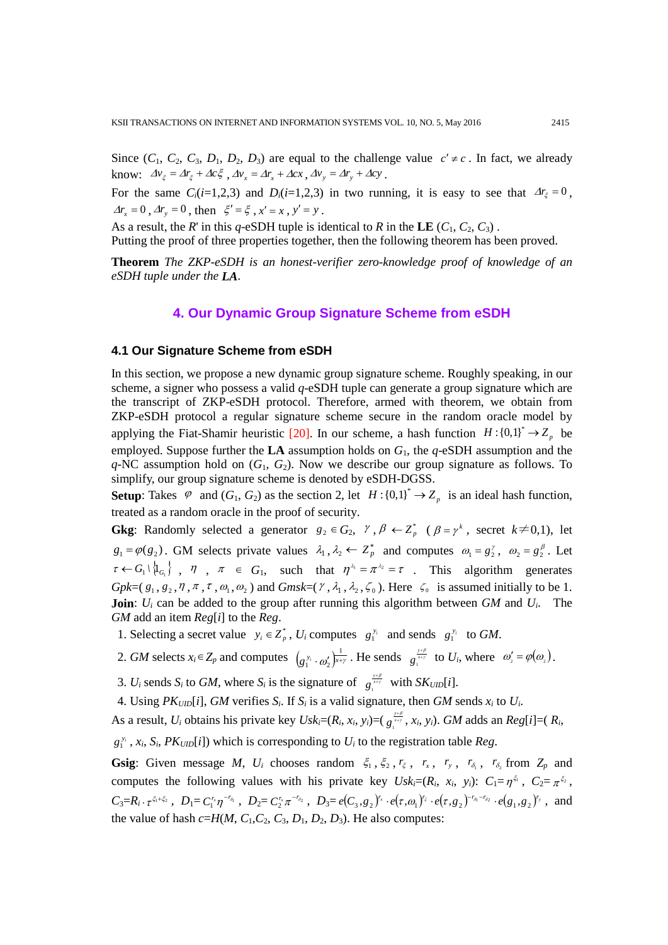Since  $(C_1, C_2, C_3, D_1, D_2, D_3)$  are equal to the challenge value  $c' \neq c$ . In fact, we already know:  $\Delta v_{\xi} = \Delta r_{\xi} + \Delta c \xi$ ,  $\Delta v_{x} = \Delta r_{x} + \Delta c x$ ,  $\Delta v_{y} = \Delta r_{y} + \Delta c y$ .

For the same  $C_i(i=1,2,3)$  and  $D_i(i=1,2,3)$  in two running, it is easy to see that  $\Delta r_\xi = 0$ ,  $\Delta r_x = 0$ ,  $\Delta r_y = 0$ , then  $\xi' = \xi$ ,  $x' = x$ ,  $y' = y$ .

As a result, the *R*' in this *q*-eSDH tuple is identical to *R* in the **LE**  $(C_1, C_2, C_3)$ .

Putting the proof of three properties together, then the following theorem has been proved.

**Theorem** *The ZKP-eSDH is an honest-verifier zero-knowledge proof of knowledge of an eSDH tuple under the LA*.

# **4. Our Dynamic Group Signature Scheme from eSDH**

## **4.1 Our Signature Scheme from eSDH**

In this section, we propose a new dynamic group signature scheme. Roughly speaking, in our scheme, a signer who possess a valid *q*-eSDH tuple can generate a group signature which are the transcript of ZKP-eSDH protocol. Therefore, armed with theorem, we obtain from ZKP-eSDH protocol a regular signature scheme secure in the random oracle model by applying the Fiat-Shamir heuristic [20]. In our scheme, a hash function  $H : \{0,1\}^* \to Z_p$  be employed. Suppose further the **LA** assumption holds on *G*1, the *q*-eSDH assumption and the *q*-NC assumption hold on (*G*1, *G*2). Now we describe our group signature as follows. To simplify, our group signature scheme is denoted by eSDH-DGSS.

**Setup**: Takes  $\varphi$  and  $(G_1, G_2)$  as the section 2, let  $H: \{0,1\}^* \to Z_p$  is an ideal hash function, treated as a random oracle in the proof of security.

**Gkg**: Randomly selected a generator  $g_2 \in G_2$ ,  $\gamma$ ,  $\beta \leftarrow Z_p^*$  ( $\beta = \gamma^k$ , secret  $k \neq 0,1$ ), let  $g_1 = \varphi(g_2)$ . GM selects private values  $\lambda_1, \lambda_2 \leftarrow Z_p^*$  and computes  $\omega_1 = g_2^{\gamma}, \omega_2 = g_2^{\beta}$ . Let  $\tau \leftarrow G_1 \setminus \{I_{G_1}\}\;$ ,  $\eta$ ,  $\pi \in G_1$ , such that  $\eta^{\lambda_1} = \pi^{\lambda_2} = \tau$ . This algorithm generates *Gpk*=( $g_1, g_2, \eta, \pi, \tau, \omega_1, \omega_2$ ) and *Gmsk*=( $\gamma$ ,  $\lambda_1, \lambda_2, \zeta_0$ ). Here  $\zeta_0$  is assumed initially to be 1. **Join**:  $U_i$  can be added to the group after running this algorithm between *GM* and  $U_i$ . The *GM* add an item *Reg*[*i*] to the *Reg*.

1. Selecting a secret value  $y_i \in Z_p^*$ ,  $U_i$  computes  $g_1^{y_i}$  and sends  $g_1^{y_i}$  to *GM*.

2. *GM* selects  $x_i \in Z_p$  and computes  $(g_1^{y_i} \cdot \omega_2')^{\frac{1}{x+y}}$ . He sends  $g_i^{\frac{y+\beta}{x+y}}$  to  $U_i$ , where  $\omega_2' = \varphi(\omega_2)$ .

3. *U<sub>i</sub>* sends *S<sub>i</sub>* to *GM*, where *S<sub>i</sub>* is the signature of  $g_i^{y+i/2}$  with *SK<sub>UID</sub>*[*i*].

4. Using  $PK_{UID}[i]$ , *GM* verifies  $S_i$ . If  $S_i$  is a valid signature, then *GM* sends  $x_i$  to  $U_i$ .

As a result, *U<sub>i</sub>* obtains his private key  $Usk_i=(R_i, x_i, y_i)=(g_i^{\frac{y+\beta}{x}}, x_i, y_i)$ . *GM* adds an  $Reg[i]=(R_i, x_i, y_i)$ 

 $g_1^{y_i}$ ,  $x_i$ ,  $S_i$ ,  $PK_{UID}[i]$ ) which is corresponding to  $U_i$  to the registration table *Reg*.

**Gsig**: Given message *M*,  $U_i$  chooses random  $\xi_1, \xi_2, r_\xi, r_x, r_y, r_{\delta_1}, r_{\delta_2}$  from  $Z_p$  and computes the following values with his private key  $Usk_i=(R_i, x_i, y_i): C_1=\eta^{\xi_1}, C_2=\pi^{\xi_2}$ ,  $C_3=R_i\cdot \tau^{\xi_1+\xi_2}$ ,  $D_1=C_1^{r_x}\eta^{-r_{\delta_1}}$ ,  $D_2=C_2^{r_x}\pi^{-r_{\delta_2}}$ ,  $D_3=e(C_3,g_2)^{r_x}\cdot e(\tau,\omega_1)^{r_{\xi}}\cdot e(\tau,g_2)^{-r_{\delta_1}-r_{\delta_2}}\cdot e(g_1,g_2)^{r_y}$ , and the value of hash  $c=H(M, C_1, C_2, C_3, D_1, D_2, D_3)$ . He also computes: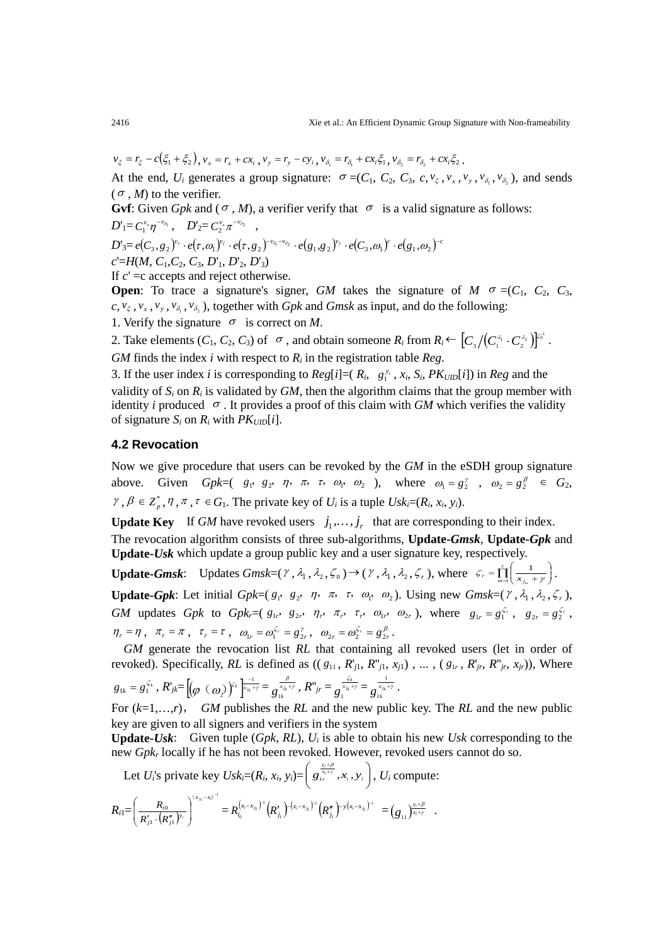$$
v_{\xi} = r_{\xi} - c(\xi_1 + \xi_2), v_x = r_x + cx_i, v_y = r_y - cy_i, v_{\delta_1} = r_{\delta_1} + cx_i\xi_1, v_{\delta_2} = r_{\delta_2} + cx_i\xi_2.
$$

At the end,  $U_i$  generates a group signature:  $\sigma = (C_1, C_2, C_3, c, v_\xi, v_x, v_y, v_{\delta_1}, v_{\delta_2})$ , and sends  $(\sigma, M)$  to the verifier.

**Gvf**: Given *Gpk* and ( $\sigma$ , *M*), a verifier verify that  $\sigma$  is a valid signature as follows:

$$
D'_{1}=C_{1}^{\nu_{x}}\eta^{-\nu_{\delta_{1}}},\quad D'_{2}=C_{2}^{\nu_{x}}\pi^{-\nu_{\delta_{2}}}\quad ,
$$

 $D'_{3} = e \big( C_{3}, \overline{\mathcal{S}}_{2} \big)^{\mathcal{V}_{x}} \cdot e \big( \tau, \omega_{1} \big)^{\mathcal{V}_{\varepsilon}} \cdot e \big( \tau, \overline{\mathcal{S}}_{2} \big)^{-\mathcal{V}_{\delta_{1}} - \mathcal{V}_{\delta_{2}}} \cdot e \big( \overline{\mathcal{S}}_{1}, \overline{\mathcal{S}}_{2} \big)^{\mathcal{V}_{y}} \cdot e \big( C_{3}, \omega_{1} \big)^{c} \cdot e \big( \overline{\mathcal{S}}_{1}, \omega_{2} \big)^{-c}$ *c*'=*H*(*M*, *C*1,*C*2, *C*3, *D*'1, *D*'2, *D*'3)

If *c*' =c accepts and reject otherwise.

**Open**: To trace a signature's signer, *GM* takes the signature of  $M \sigma = (C_1, C_2, C_3,$  $c, v_{\xi}, v_{x}, v_{y}, v_{\delta_{1}}, v_{\delta_{2}}$ , together with *Gpk* and *Gmsk* as input, and do the following:

1. Verify the signature  $\sigma$  is correct on *M*.

2. Take elements  $(C_1, C_2, C_3)$  of  $\sigma$ , and obtain someone  $R_i$  from  $R_i \leftarrow [C_3/(C_1^{\lambda_1} \cdot C_2^{\lambda_2})]^{\epsilon_0!}$  $\left[C_{_{3}}\big/\!\!\left(C_{_{1}}^{\lambda_{1}}\cdot C_{_{2}}^{\lambda_{2}}\right)\!\right]^{_{\!\!\!\!\!\!\!C}^{\!\!\!G^1}}\,.$ *GM* finds the index *i* with respect to  $R_i$  in the registration table *Reg.* 

3. If the user index *i* is corresponding to  $Reg[i] = (R_i, g_1^{y_i}, x_i, S_i, PK_{UID}[i])$  in  $Reg$  and the validity of  $S_i$  on  $R_i$  is validated by  $GM$ , then the algorithm claims that the group member with identity *i* produced <sup>σ</sup> . It provides a proof of this claim with *GM* which verifies the validity of signature  $S_i$  on  $R_i$  with  $PK_{UID}[i]$ .

#### **4.2 Revocation**

Now we give procedure that users can be revoked by the *GM* in the eSDH group signature above. Given *Gpk*=(  $g_1$ ,  $g_2$ ,  $\eta$ ,  $\pi$ ,  $\tau$ ,  $\omega_1$ ,  $\omega_2$  ), where  $\omega_1 = g_2^{\gamma}$ ,  $\omega_2 = g_2^{\beta} \in G_2$ ,  $\gamma, \beta \in \mathbb{Z}_p^*, \eta, \pi, \tau \in G_1$ . The private key of  $U_i$  is a tuple  $Usk_i=(R_i, x_i, y_i)$ .

**Update Key** If *GM* have revoked users  $j_1, \ldots, j_r$  that are corresponding to their index. The revocation algorithm consists of three sub-algorithms, **Update-***Gmsk*, **Update-***Gpk* and **Update-***Usk* which update a group public key and a user signature key, respectively.

**Update-***Gmsk*: Updates *Gmsk*=( $\gamma$ ,  $\lambda_1$ ,  $\lambda_2$ ,  $\zeta_0$ ) → ( $\gamma$ ,  $\lambda_1$ ,  $\lambda_2$ ,  $\zeta_r$ ), where  $\zeta_r = \prod_{m=1}^{r} \left( \frac{1}{x_{i_m} + \gamma} \right)$ J ١ ĺ  $\overline{\phantom{0}}$  $\sum_{r}^{r} = \prod_{m=1}^{r} \left( \frac{1}{x_{j_m}} \right)$ 1  $\zeta_r = \prod_{m=1}^r \left( \frac{1}{x_{i-} + \gamma} \right)$ . **Update-***Gpk*: Let initial *Gpk*=( $g_1$ ,  $g_2$ ,  $\eta$ ,  $\pi$ ,  $\tau$ ,  $\omega_1$ ,  $\omega_2$ ). Using new *Gmsk*=( $\gamma$ ,  $\lambda_1$ ,  $\lambda_2$ ,  $\zeta$ ,), *GM* updates *Gpk* to *Gpk*,= $(g_{1r}, g_{2r}, \eta_r, \pi_r, \tau_r, \omega_{1r}, \omega_{2r})$ , where  $g_{1r} = g_1^{\zeta_r}$ ,  $g_{2r} = g_2^{\zeta_r}$ ,  $\eta_r = \eta$ ,  $\pi_r = \pi$ ,  $\tau_r = \tau$ ,  $\omega_{1r} = \omega_1^{\zeta_r} = g_{2r}^{\gamma}$ ,  $\omega_{2r} = \omega_2^{\zeta_r} = g_{2r}^{\beta}$ .

 *GM* generate the revocation list *RL* that containing all revoked users (let in order of revoked). Specifically, *RL* is defined as  $((g_{11}, R'_{j1}, R''_{j1}, x_{j1}), \ldots, (g_{1r}, R'_{jr}, R''_{jr}, x_{jr}))$ , Where  $g_{1k} = g_1^{\zeta_k}$  ,  $R'_{jk} = \left[ (\varphi \, \langle \, \varpi_2 \rangle)^{\zeta_k} \right]_{x_k + \gamma}^{1} = g_{1k}^{\frac{\beta}{\chi_{k} + \gamma}}$  ,  $R''_{j r} = g_{1}^{\frac{1}{\chi_{k} + \gamma}} = g_{1k}^{\frac{1}{\chi_{k} + \gamma}}$ 1  $\frac{x_{j_k}+\gamma}{1k}$  .

For (*k*=1,…,*r*), *GM* publishes the *RL* and the new public key. The *RL* and the new public key are given to all signers and verifiers in the system

**Update-***Usk*: Given tuple (*Gpk*, *RL*), *Ui* is able to obtain his new *Usk* corresponding to the new *Gpkr* locally if he has not been revoked. However, revoked users cannot do so.

Let *U<sub>i</sub>*'s private key *Usk<sub>i</sub>*=( $R_i$ ,  $x_i$ ,  $y_i$ )= $\left( g \frac{x_i}{x_i}$ ,  $x_i$ ,  $y_i \right)$  $\left(g_{1r}^{\frac{y_i+\beta}{x_i+\gamma}},x_i,y_i\right)$  $\overline{\mathcal{L}}$  $\int \frac{y_i}{x_i +}$  $g_{1r}^{\frac{y_i+\beta}{x_i+\gamma}}, x_i, y_i$ ,  $U_i$  compute: 1 i,  $-x_i$ <sup>-</sup> ) ſ  $(x_{j_1} - x_i)$ .) –  $x_i - x_i$ 1 1  $x_i - x$ β + *i y*

$$
R_{i1} = \left(\frac{R_{i0}}{R'_{j1} \cdot (R''_{j1})^{y_i}}\right)^{(x_{j1}-x_{j})^{-1}} = R_{i_0}^{(x_i-x_{j_1})^{-1}}(R'_{j_1})^{-(x_i-x_{j_1})^{-1}}(R''_{j_1})^{-y(x_i-x_{j_1})^{-1}} = (g_{11})^{\frac{y_i+\beta}{x_i+y}}.
$$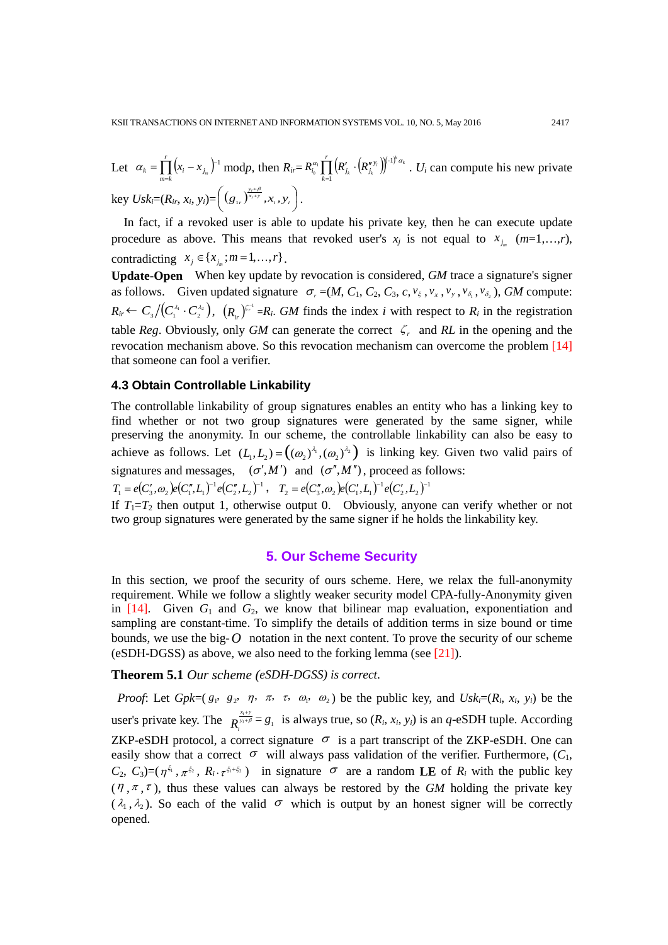Let 
$$
\alpha_k = \prod_{m=k}^r (x_i - x_{j_m})^{-1}
$$
 modp, then  $R_{ir} = R_{i_0}^{\alpha_1} \prod_{k=1}^r (R'_{j_k} \cdot (R''_{j_k})^{\beta_1 \beta_2} \alpha_k \cdot U_i)$  can compute his new private key  $Usk_i = (R_{ir}, x_i, y_i) = ((g_{1r})^{\frac{y_i + \beta}{x_i + \gamma}}, x_i, y_i)$ .

In fact, if a revoked user is able to update his private key, then he can execute update procedure as above. This means that revoked user's  $x_j$  is not equal to  $x_{j_m}$  ( $m=1,\ldots,r$ ), contradicting  $x_i \in \{x_{i}: m = 1, ..., r\}$ .

**Update-Open** When key update by revocation is considered, *GM* trace a signature's signer as follows. Given updated signature  $\sigma_r = (M, C_1, C_2, C_3, c, v_\xi, v_x, v_y, v_{\delta_1}, v_{\delta_2})$ , *GM* compute:  $R_{ir} \leftarrow C_3 / (C_1^{\lambda_1} \cdot C_2^{\lambda_2})$ ,  $(R_{ir})^{\zeta_i^{-1}} = R_i$ . *GM* finds the index *i* with respect to  $R_i$  in the registration table *Reg*. Obviously, only *GM* can generate the correct  $\zeta$  *r* and *RL* in the opening and the revocation mechanism above. So this revocation mechanism can overcome the problem [14] that someone can fool a verifier.

#### **4.3 Obtain Controllable Linkability**

The controllable linkability of group signatures enables an entity who has a linking key to find whether or not two group signatures were generated by the same signer, while preserving the anonymity. In our scheme, the controllable linkability can also be easy to achieve as follows. Let  $(L_1, L_2) = ((\omega_2)^{\lambda_1}, (\omega_2)^{\lambda_2})$  is linking key. Given two valid pairs of signatures and messages,  $(\sigma', M')$  and  $(\sigma'', M'')$ , proceed as follows:  $T_1 = e(C'_3, \omega_2)e(C''_1, L_1)^{-1}e(C''_2, L_2)^{-1}$ ,  $T_2 = e(C''_3, \omega_2)e(C'_1, L_1)^{-1}e(C'_2, L_2)^{-1}$ 

If  $T_1 = T_2$  then output 1, otherwise output 0. Obviously, anyone can verify whether or not two group signatures were generated by the same signer if he holds the linkability key.

#### **5. Our Scheme Security**

In this section, we proof the security of ours scheme. Here, we relax the full-anonymity requirement. While we follow a slightly weaker security model CPA-fully-Anonymity given in  $[14]$ . Given  $G_1$  and  $G_2$ , we know that bilinear map evaluation, exponentiation and sampling are constant-time. To simplify the details of addition terms in size bound or time bounds, we use the big- $O$  notation in the next content. To prove the security of our scheme (eSDH-DGSS) as above, we also need to the forking lemma (see [21]).

#### **Theorem 5.1** *Our scheme (eSDH-DGSS) is correct*.

*Proof*: Let *Gpk*=( $g_1$ ,  $g_2$ ,  $\eta$ ,  $\pi$ ,  $\tau$ ,  $\omega_1$ ,  $\omega_2$ ) be the public key, and *Usk<sub>i</sub>*=( $R_i$ ,  $x_i$ ,  $y_i$ ) be the user's private key. The  $R^{\frac{x_i+y_i}{y_i+\beta}}$  $R_i^{\frac{x_i+y}{x_i+b}} = g_1$  is always true, so  $(R_i, x_i, y_i)$  is an *q*-eSDH tuple. According ZKP-eSDH protocol, a correct signature  $\sigma$  is a part transcript of the ZKP-eSDH. One can easily show that a correct  $\sigma$  will always pass validation of the verifier. Furthermore,  $(C_1,$ *C*<sub>2</sub>, *C*<sub>3</sub>)=( $\eta^{\xi_1}$ ,  $\pi^{\xi_2}$ ,  $R_i$ ,  $\tau^{\xi_1+\xi_2}$ ) in signature  $\sigma$  are a random **LE** of  $R_i$  with the public key  $(\eta, \pi, \tau)$ , thus these values can always be restored by the *GM* holding the private key  $(\lambda_1, \lambda_2)$ . So each of the valid  $\sigma$  which is output by an honest signer will be correctly opened.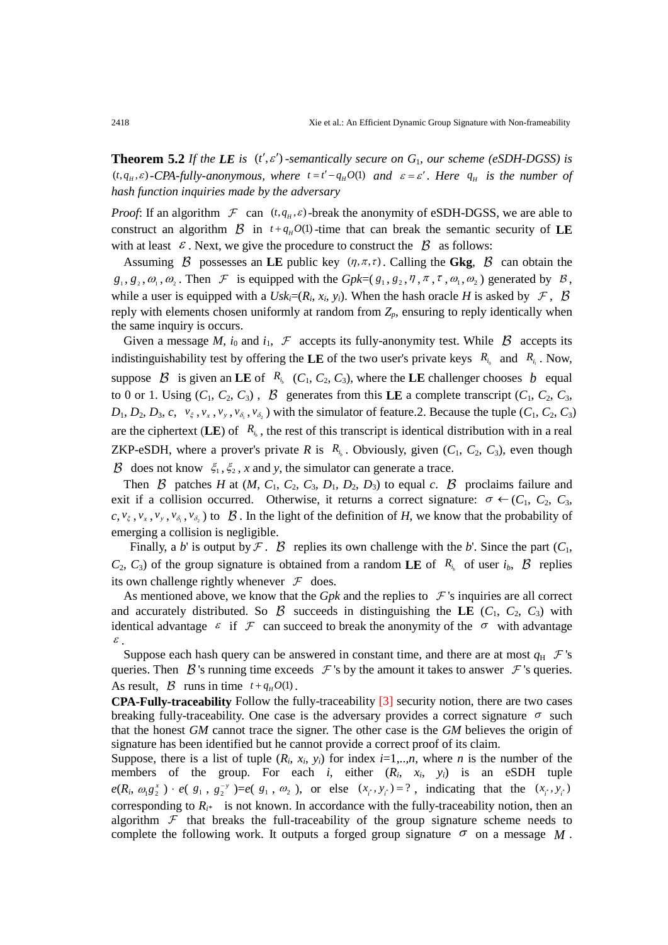**Theorem 5.2** *If the LE is*  $(t', \varepsilon')$  *-semantically secure on*  $G_1$ *, our scheme (eSDH-DGSS) is*  $(t, q_H, \varepsilon)$ -CPA-fully-anonymous, where  $t = t' - q_H O(1)$  and  $\varepsilon = \varepsilon'$ . Here  $q_H$  is the number of *hash function inquiries made by the adversary*

*Proof*: If an algorithm  $\mathcal F$  can  $(t, q_H, \varepsilon)$ -break the anonymity of eSDH-DGSS, we are able to construct an algorithm  $\beta$  in  $t + q<sub>H</sub> O(1)$ -time that can break the semantic security of LE with at least  $\varepsilon$ . Next, we give the procedure to construct the  $\beta$  as follows:

Assuming  $\beta$  possesses an LE public key  $(\eta, \pi, \tau)$ . Calling the Gkg,  $\beta$  can obtain the  $g_1, g_2, \omega_1, \omega_2$ . Then  $\mathcal F$  is equipped with the *Gpk*=( $g_1, g_2, \eta, \pi, \tau, \omega_1, \omega_2$ ) generated by  $\mathcal B$ , while a user is equipped with a  $U_s k_i = (R_i, x_i, y_i)$ . When the hash oracle *H* is asked by  $\mathcal{F}$ ,  $\beta$ reply with elements chosen uniformly at random from  $Z_p$ , ensuring to reply identically when the same inquiry is occurs.

Given a message *M*,  $i_0$  and  $i_1$ ,  $\mathcal F$  accepts its fully-anonymity test. While  $\beta$  accepts its indistinguishability test by offering the **LE** of the two user's private keys  $R_{i_0}$  and  $R_{i_1}$ . Now, suppose  $\beta$  is given an **LE** of  $R_{i_b}$  ( $C_1$ ,  $C_2$ ,  $C_3$ ), where the **LE** challenger chooses *b* equal to 0 or 1. Using  $(C_1, C_2, C_3)$ ,  $\beta$  generates from this LE a complete transcript  $(C_1, C_2, C_3)$ ,  $D_1, D_2, D_3, c, v_{\xi}, v_x, v_y, v_{\delta_1}, v_{\delta_2}$ ) with the simulator of feature. 2. Because the tuple  $(C_1, C_2, C_3)$ are the ciphertext (LE) of  $R_{i}$ , the rest of this transcript is identical distribution with in a real ZKP-eSDH, where a prover's private *R* is  $R_{i_b}$ . Obviously, given  $(C_1, C_2, C_3)$ , even though  $\beta$  does not know  $\xi_1, \xi_2, x$  and *y*, the simulator can generate a trace.

Then  $\beta$  patches *H* at (*M*, *C*<sub>1</sub>, *C*<sub>2</sub>, *C*<sub>3</sub>, *D*<sub>1</sub>, *D*<sub>2</sub>, *D*<sub>3</sub>) to equal *c*.  $\beta$  proclaims failure and exit if a collision occurred. Otherwise, it returns a correct signature:  $\sigma \leftarrow (C_1, C_2, C_3, C_4)$  $c, v_{\xi}, v_{x}, v_{y}, v_{\delta_{1}}, v_{\delta_{2}}$  ) to  $\beta$ . In the light of the definition of *H*, we know that the probability of emerging a collision is negligible.

Finally, a *b*' is output by  $\mathcal{F}$ .  $\mathcal{B}$  replies its own challenge with the *b*'. Since the part  $(C_1,$  $C_2$ ,  $C_3$ ) of the group signature is obtained from a random **LE** of  $R_{i_b}$  of user  $i_b$ ,  $\beta$  replies its own challenge rightly whenever  $\mathcal F$  does.

As mentioned above, we know that the  $Gpk$  and the replies to  $\mathcal F$ 's inquiries are all correct and accurately distributed. So  $\beta$  succeeds in distinguishing the LE ( $C_1$ ,  $C_2$ ,  $C_3$ ) with identical advantage  $\varepsilon$  if  $\mathcal F$  can succeed to break the anonymity of the  $\sigma$  with advantage <sup>ε</sup> .

Suppose each hash query can be answered in constant time, and there are at most  $q_H \, \mathcal{F}$ 's queries. Then  $\beta$ 's running time exceeds  $\mathcal F$ 's by the amount it takes to answer  $\mathcal F$ 's queries. As result,  $\beta$  runs in time  $t + q<sub>H</sub> O(1)$ .

**CPA-Fully-traceability** Follow the fully-traceability [3] security notion, there are two cases breaking fully-traceability. One case is the adversary provides a correct signature  $\sigma$  such that the honest *GM* cannot trace the signer. The other case is the *GM* believes the origin of signature has been identified but he cannot provide a correct proof of its claim.

Suppose, there is a list of tuple  $(R_i, x_i, y_i)$  for index  $i=1,...,n$ , where *n* is the number of the members of the group. For each *i*, either (*Ri*, *xi*, *yi*) is an eSDH tuple  $e(R_i, \omega_1 g_2^x) \cdot e(g_1, g_2^{-y}) = e(g_1, \omega_2)$ , or else  $(x_i, y_i) = ?$ , indicating that the  $(x_i, y_i)$ corresponding to  $R_{i*}$  is not known. In accordance with the fully-traceability notion, then an algorithm  $\mathcal F$  that breaks the full-traceability of the group signature scheme needs to complete the following work. It outputs a forged group signature  $\sigma$  on a message  $M$ .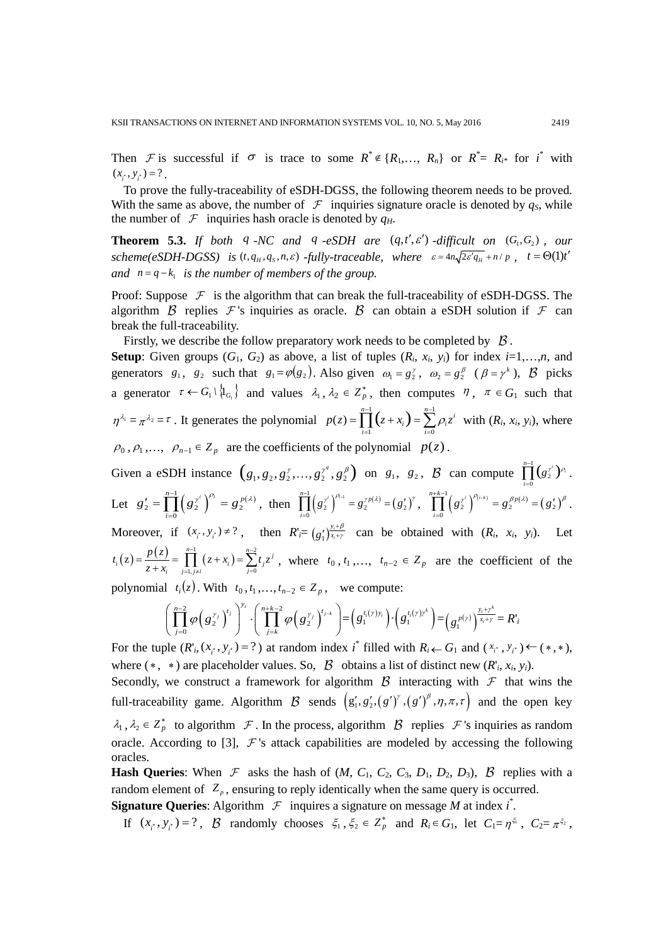Then F is successful if  $\sigma$  is trace to some  $R^* \notin \{R_1, ..., R_n\}$  or  $R^* = R_{i^*}$  for  $i^*$  with  $(x, y, y) = ?$ .

To prove the fully-traceability of eSDH-DGSS, the following theorem needs to be proved. With the same as above, the number of  $\mathcal F$  inquiries signature oracle is denoted by  $q_s$ , while the number of  $\mathcal F$  inquiries hash oracle is denoted by  $q_H$ .

**Theorem 5.3.** *If both q -NC and q -eSDH are* ( $q$ , $t'$ , $\varepsilon'$ ) *-difficult on*  $(G_1, G_2)$ , *our*  $scheme(eSDH-DGSS)$  *is*  $(t, q_H, q_S, n, \varepsilon)$  *-fully-traceable, where*  $\varepsilon = 4n\sqrt{2\varepsilon'q_H} + n/p$ ,  $t = \Theta(1)t'$ *and*  $n = q - k$  *is the number of members of the group.* 

Proof: Suppose  $\mathcal F$  is the algorithm that can break the full-traceability of eSDH-DGSS. The algorithm  $\beta$  replies  $\mathcal F$ 's inquiries as oracle.  $\beta$  can obtain a eSDH solution if  $\mathcal F$  can break the full-traceability.

Firstly, we describe the follow preparatory work needs to be completed by  $\beta$ .

**Setup**: Given groups  $(G_1, G_2)$  as above, a list of tuples  $(R_i, x_i, y_i)$  for index  $i=1,...,n$ , and generators  $g_1$ ,  $g_2$  such that  $g_1 = \varphi(g_2)$ . Also given  $\omega_1 = g_2^{\gamma}$ ,  $\omega_2 = g_2^{\beta}$  ( $\beta = \gamma^k$ ),  $\beta$  picks a generator  $\tau \leftarrow G_1 \setminus \{1_{G_1}\}\$  and values  $\lambda_1, \lambda_2 \in \mathbb{Z}_p^*$ , then computes  $\eta$ ,  $\pi \in G_1$  such that  $\eta^{\lambda_1} = \pi^{\lambda_2} = \tau$ . It generates the polynomial  $p(z) = \prod_{i=1}^{n-1} (z + x_i) = \sum_{i=1}^{n-1} \rho_i z^i$  with  $(R_i, x_i, y_i)$ , where  $i = 1$   $i = 0$ *i i*  $i = 1$   $i =$  $\rho_0$ ,  $\rho_1$ ,...,  $\rho_{n-1} \in Z_p$  are the coefficients of the polynomial  $p(z)$ .

Given a eSDH instance  $(g_1, g_2, g_2^{\gamma}, \dots, g_2^{\gamma^q}, g_2^{\beta})$  on  $g_1, g_2, \beta$  can compute  $\prod_{i=1}^{n-1} (g_2^{\gamma^i})^{\rho_i}$ . Let  $g'_2 = \prod_{i=0}^{n-1} (g_2^{\gamma^i})^{\rho_i} = g_2^{p(\lambda)}$ , then  $\prod_{i=0}^{n-1} (g_2^{\gamma^i})^{\rho_{i-1}} = g_2^{\gamma p(\lambda)} = (g'_2)^{\gamma}$ ,  $\prod_{i=0}^{n+k-1} (g_2^{\gamma^i})^{\rho_{i-k}} = g_2^{\beta p(\lambda)}$  $\prod^{n-1}$   $\left( \begin{array}{c} x^{i} \end{array} \right)^{\rho_{i}}$   $\left( \begin{array}{c} p \end{array} \right)$ *i*  $g_2' = \prod^{n-1} (g_2^{\gamma^i})^{\rho_i} = g_2^{\ p(\lambda)}$  $S'_2 = \prod_{i=0}^{n-1} (g_2^{\gamma^i})^{\rho_i} = g_2^{\ p(\lambda)}, \text{ then } \prod_{i=0}^{n-1} (g_2^{\gamma^i})^{\rho_{i-1}} = g_2^{\gamma p(\lambda)} = (g_2')$  $\prod^{n-1}$   $\left( \begin{array}{c} \gamma^{i} \end{array} \right)^{\rho_{i-1}}$   $\sim$   $\gamma^{p}$ *i*  $\int_0^{\frac{-1}{2}} (g_2^{\gamma^i})^{\rho_{i\!-\!1}} = g_2^{\gamma p(\lambda)} \!=\! (g_2')^{\gamma}$  $\prod_{i=0}^{n-1} (g_i^{\gamma^i})^{\rho_{i-1}} = g_2^{\gamma p(\lambda)} = (g_2')^{\gamma}, \quad \prod_{i=0}^{n+k-1} (g_2^{\gamma^i})^{\rho_{i-k}} = g_2^{\beta p(\lambda)} = (g_2')$  $\prod_{i=1}^{n+k-1} \left( \alpha^{i} \right)^{\rho_{(i-k)}} = \alpha^{\beta p}$ *i*  $\prod^{*k-1}\left({g}_{2}^{\gamma^{i}}\right)^{\rho_{(i-k)}}= {g}_{2}^{\ \beta p(\lambda)}= \left({g}_{2}^{\ \prime}\right)^{\beta}$  $\prod_{i=0}^{n} (g_2^{r^i})^{\rho_{(i-k)}} = g_2^{\beta p(\lambda)} = (g_2')^{\beta}.$ Moreover, if  $(x_i, y_i) \neq ?$ , then  $R' = (g'_1)^{\frac{y_i + \beta}{x_i + \gamma}}$  $\sum_{i=1}^{y_i} x_i$  $g_1'$ ,  $g_2'$ ,  $\frac{y_i+\beta}{x_i+y}$  can be obtained with  $(R_i, x_i, y_i)$ . Let  $\sum_{i=1}^{n} (z) = \frac{p(z)}{z + x_i} = \prod_{j=1, j \neq i}^{n-1} (z + x_i) = \sum_{j=0}^{n-2}$  $f(z) = \frac{p(z)}{z + x_i} = \prod_{j=1, j\neq i}^{n-1} (z + x_i) = \sum_{j=0}^{n-2} t_j z^j$  $t_i(z) = \frac{p(z)}{z + x_i} = \prod_{j=1, j \neq i}^{n-1} (z + x_i) = \sum_{j=0}^{n-2} t_j z_j$  $-1$   $n = 1, j \neq i$   $j =$  $=\frac{P(z)}{z+x_i}=\prod_{i=1, i\neq i}(z+x_i)=\sum_{j=0}^{t}t_jz^j$ , where  $t_0, t_1,..., t_{n-2}\in Z_p$  are the coefficient of the polynomial  $t_i(z)$ . With  $t_0, t_1, \ldots, t_{n-2} \in Z_p$ , we compute:

$$
\left(\prod_{j=0}^{n-2}\varphi\left(g_2^{\gamma_j}\right)^{t_j}\right)^{y_i}\cdot\left(\prod_{j=k}^{n+k-2}\varphi\left(g_2^{\gamma_j}\right)^{t_{j-k}}\right)=\left(g_1^{t_i(\gamma)y_i}\right)\cdot\left(g_1^{t_i(\gamma)\gamma^k}\right)=\left(g_1^{p(\gamma)}\right)^{\frac{y_i+\gamma^k}{x_i+\gamma}}=R^{\prime}_i
$$

For the tuple  $(R'_i, (x_i^*, y_i^*) = ?$  at random index *i*<sup>\*</sup> filled with  $R_i \leftarrow G_1$  and  $(x_i^*, y_i^*) \leftarrow (*, *)$ , where  $(*, * )$  are placeholder values. So,  $\beta$  obtains a list of distinct new  $(R'_i, x_i, y_i)$ . Secondly, we construct a framework for algorithm  $\beta$  interacting with  $\mathcal F$  that wins the full-traceability game. Algorithm  $\beta$  sends  $(g_1, g_2', (g')^{\gamma}, (g')^{\beta}, \eta, \pi, \tau)$  and the open key  $\lambda_1, \lambda_2 \in \mathbb{Z}_p^*$  to algorithm  $\mathcal F$ . In the process, algorithm  $\mathcal B$  replies  $\mathcal F$ 's inquiries as random oracle. According to [3],  $\mathcal{F}$ 's attack capabilities are modeled by accessing the following oracles.

**Hash Queries**: When F asks the hash of  $(M, C_1, C_2, C_3, D_1, D_2, D_3)$ , B replies with a random element of  $Z_p$ , ensuring to reply identically when the same query is occurred.

**Signature Queries:** Algorithm  $\mathcal{F}$  inquires a signature on message *M* at index  $i^*$ .

If  $(x_i, y_i) = ?$ ,  $\beta$  randomly chooses  $\xi_1, \xi_2 \in \mathbb{Z}_p^*$  and  $R_i \in G_1$ , let  $C_1 = \eta^{\xi_1}$ ,  $C_2 = \pi^{\xi_2}$ ,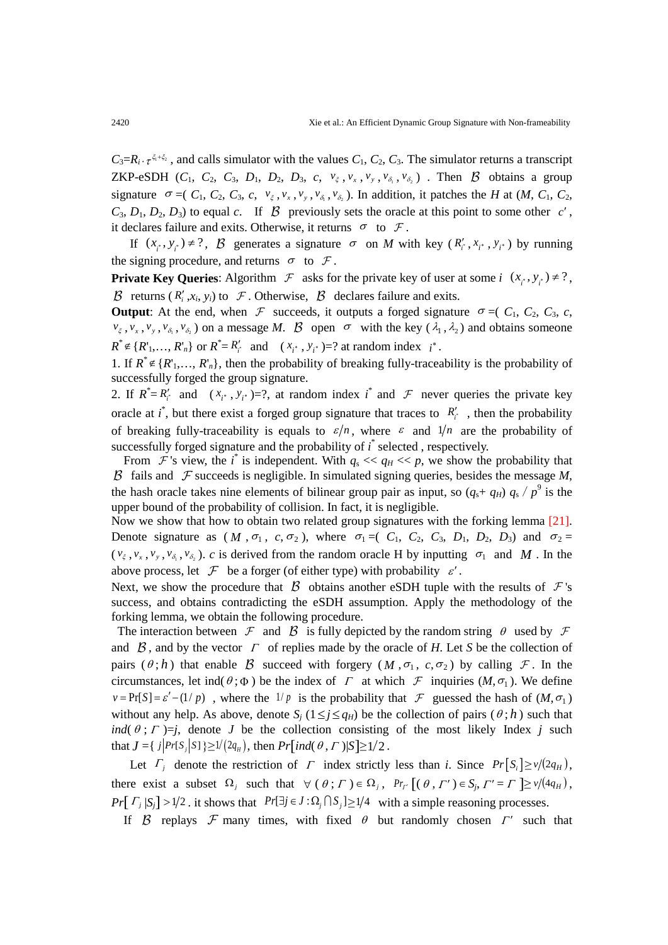$C_3=R_i \cdot \tau^{\xi_1+\xi_2}$ , and calls simulator with the values  $C_1$ ,  $C_2$ ,  $C_3$ . The simulator returns a transcript ZKP-eSDH  $(C_1, C_2, C_3, D_1, D_2, D_3, c, v_{\xi}, v_x, v_y, v_{\delta_1}, v_{\delta_2})$ . Then  $\beta$  obtains a group signature  $\sigma = (C_1, C_2, C_3, c, v_\xi, v_x, v_y, v_{\delta_1}, v_{\delta_2})$ . In addition, it patches the *H* at (*M*, *C*<sub>1</sub>, *C*<sub>2</sub>,  $C_3$ ,  $D_1$ ,  $D_2$ ,  $D_3$ ) to equal *c*. If  $\beta$  previously sets the oracle at this point to some other *c'*, it declares failure and exits. Otherwise, it returns  $\sigma$  to  $\mathcal{F}$ .

If  $(x_i, y_i) \neq ?$ ,  $\beta$  generates a signature  $\sigma$  on *M* with key  $(R'_i, x_i, y_i)$  by running the signing procedure, and returns  $\sigma$  to  $\mathcal{F}$ .

**Private Key Queries:** Algorithm  $\mathcal{F}$  asks for the private key of user at some *i*  $(x_*, y_*) \neq ?$ , B returns  $(R'_i, x_i, y_i)$  to  $\mathcal F$ . Otherwise,  $\mathcal B$  declares failure and exits.

**Output:** At the end, when  $\mathcal F$  succeeds, it outputs a forged signature  $\sigma = (C_1, C_2, C_3, c,$  $v_{\xi}$ ,  $v_{x}$ ,  $v_{y}$ ,  $v_{\delta_1}$ ,  $v_{\delta_2}$ ) on a message *M*.  $\beta$  open  $\sigma$  with the key ( $\lambda_1$ ,  $\lambda_2$ ) and obtains someone  $R^* \notin \{R'_{1},..., R'_{n}\}$  or  $R^* = R'_{i}$  and  $(x_{i^*}, y_{i^*}) = ?$  at random index  $i^*$ .

1. If  $R^* \notin \{R^1, \ldots, R^r\}$ , then the probability of breaking fully-traceability is the probability of successfully forged the group signature.

2. If  $R^* = R'_i$  and  $(x_i^*, y_i^*) = ?$ , at random index  $i^*$  and  $\mathcal F$  never queries the private key oracle at  $i^*$ , but there exist a forged group signature that traces to  $R_i^{\prime}$ , then the probability of breaking fully-traceability is equals to  $\varepsilon/n$ , where  $\varepsilon$  and  $1/n$  are the probability of successfully forged signature and the probability of *i* \* selected , respectively.

From  $\mathcal F$ 's view, the *i*<sup>\*</sup> is independent. With  $q_s \ll q_H \ll p$ , we show the probability that  $\beta$  fails and  $\mathcal F$  succeeds is negligible. In simulated signing queries, besides the message  $M$ , the hash oracle takes nine elements of bilinear group pair as input, so  $(q_s + q_H) q_s / p^9$  is the upper bound of the probability of collision. In fact, it is negligible.

Now we show that how to obtain two related group signatures with the forking lemma [21]. Denote signature as  $(M, \sigma_1, c, \sigma_2)$ , where  $\sigma_1 = (C_1, C_2, C_3, D_1, D_2, D_3)$  and  $\sigma_2 =$  $(v_{\xi}, v_x, v_y, v_{\delta_1}, v_{\delta_2})$ . *c* is derived from the random oracle H by inputting  $\sigma_1$  and *M*. In the above process, let  $\mathcal F$  be a forger (of either type) with probability  $\varepsilon'$ .

Next, we show the procedure that  $\beta$  obtains another eSDH tuple with the results of  $\mathcal F$ 's success, and obtains contradicting the eSDH assumption. Apply the methodology of the forking lemma, we obtain the following procedure.

The interaction between  $\mathcal F$  and  $\mathcal B$  is fully depicted by the random string  $\theta$  used by  $\mathcal F$ and  $\beta$ , and by the vector  $\Gamma$  of replies made by the oracle of *H*. Let *S* be the collection of pairs  $(\theta; h)$  that enable B succeed with forgery  $(M, \sigma_1, c, \sigma_2)$  by calling F. In the circumstances, let ind( $\theta$ ; $\Phi$ ) be the index of  $\Gamma$  at which  $\mathcal F$  inquiries ( $M$ , $\sigma$ <sub>1</sub>). We define  $v = Pr[S] = \varepsilon' - (1/p)$ , where the  $1/p$  is the probability that F guessed the hash of  $(M, \sigma_1)$ without any help. As above, denote  $S_i$  ( $1 \le i \le q_H$ ) be the collection of pairs ( $\theta$ ; *h*) such that *ind*( $\theta$ ;  $\Gamma$ )=*j*, denote *J* be the collection consisting of the most likely Index *j* such that  $J = \{ j | Pr[S_j | S] \} \ge 1/(2q_H)$ , then  $Pr[ind(\theta, \Gamma) | S] \ge 1/2$ .

Let  $\Gamma_i$  denote the restriction of  $\Gamma$  index strictly less than *i*. Since  $Pr[S_i] \ge v/(2q_H)$ , there exist a subset  $\Omega_j$  such that  $\forall (\theta; \Gamma) \in \Omega_j$ ,  $Pr_{\Gamma}[(\theta, \Gamma') \in S_j, \Gamma' = \Gamma] \geq \nu/(4q_H)$ , *Pr*[  $\Gamma_i$  | $S_i$ ] >1/2 . it shows that  $Pr[\exists j \in J : \Omega_j \cap S_j] \ge 1/4$  with a simple reasoning processes.

If  $\beta$  replays  $\mathcal F$  many times, with fixed  $\theta$  but randomly chosen  $\Gamma'$  such that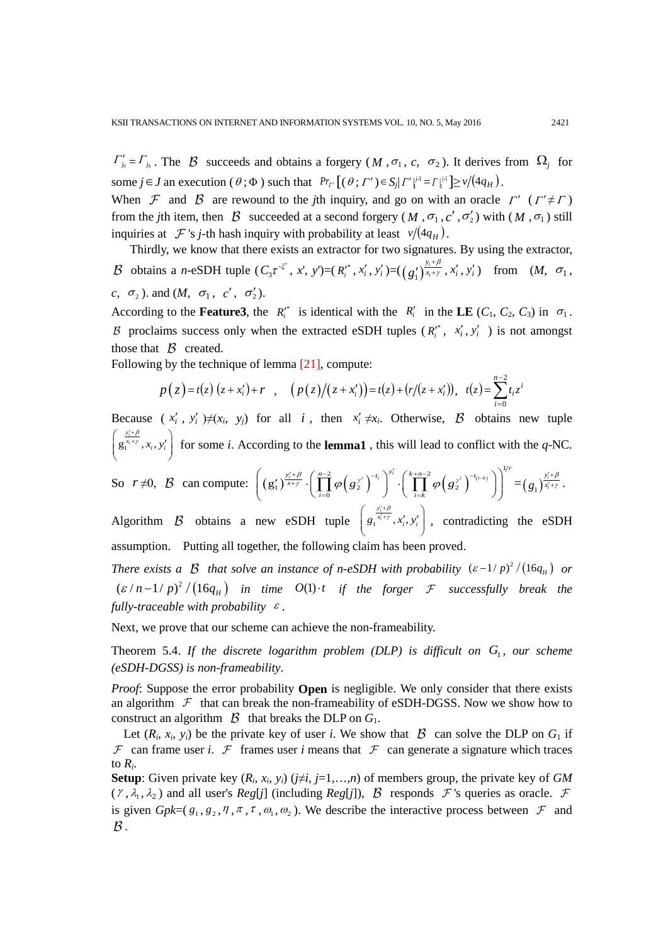$\Gamma'_{j_0} = \Gamma_{j_0}$ . The  $\beta$  succeeds and obtains a forgery (*M*,  $\sigma_1$ , *c*,  $\sigma_2$ ). It derives from  $\Omega_j$  for some  $j \in J$  an execution  $(\theta; \Phi)$  such that  $Pr_{I}[(\theta; \Gamma') \in S_j | \Gamma' \rvert_i^{j-1} = \Gamma \rvert_i^{j-1}] \ge \nu/(4q_H)$ .

When  $\mathcal F$  and  $\mathcal B$  are rewound to the *j*th inquiry, and go on with an oracle  $\Gamma'$  ( $\Gamma' \neq \Gamma$ ) from the *j*th item, then  $\beta$  succeeded at a second forgery (*M*,  $\sigma_1$ ,  $c'$ ,  $\sigma'_2$ ) with (*M*,  $\sigma_1$ ) still inquiries at  $\mathcal F$  's *j*-th hash inquiry with probability at least  $v/(4q_H)$ .

Thirdly, we know that there exists an extractor for two signatures. By using the extractor, *B* obtains a *n*-eSDH tuple  $(C_3 \tau^{5}$ , *x*', *y*')= $(R_i^{*}, x_i^{'} , y_i^{'} )=(g_1^{'} )^{\frac{3i}{x_i}}$  $g_1'\right)^{\frac{y_i+\beta}{x_i+\gamma}}$ g  $\sum_{i=1}^{\infty} \frac{y_i + \beta}{x_i + \gamma}, x'_i, y'_i$  from  $(M, \sigma_1,$  $c, \sigma_2$ ). and  $(M, \sigma_1, c', \sigma'_2)$ .

According to the **Feature3**, the  $R_i^*$  is identical with the  $R_i^{\prime}$  in the LE ( $C_1$ ,  $C_2$ ,  $C_3$ ) in  $\sigma_1$ . B proclaims success only when the extracted eSDH tuples  $(R_i^*, x_i^{'}, y_i^{'})$  is not amongst those that  $\beta$  created.

Following by the technique of lemma [21], compute:

$$
p(z) = t(z) (z + x'_i) + r , \quad (p(z)/(z + x'_i)) = t(z) + (r/(z + x'_i)), \quad t(z) = \sum_{i=0}^{n-2} t_i z^i
$$

Because  $(x_i', y_i')\neq (x_i, y_j)$  for all *i*, then  $x_i' \neq x_i$ . Otherwise,  $\beta$  obtains new tuple  $g_1^{\frac{y_i+p}{x_i+\gamma}}, x_i,$  $\left(g_1^{\frac{y'_i+\beta}{x_i+\gamma}}, x_i, y'_i\right)$  $($ for some *i*. According to the **lemma1** , this will lead to conflict with the *q*-NC.

So  $r \neq 0$ ,  $\beta$  can compute:  $\left| \left( g_1' \right) \right| \xrightarrow{x+y} \left| \prod_{i=1}^{y} \varphi \left( g_2^{r^i} \right) \right| \cdot \left| \prod_{i=1}^{y} \varphi \left( g_2^{r^i} \right) \right|^{-(i-k)}$ 2 (  $\left(\sqrt{1-t_i}\right)^{y'_i}$   $\left(\sqrt{k+n-2}\right)$  (  $\left(\sqrt{n-t_{(i,k)}}\right)^{1}$  $\left(\prod_{i=0}^{y_i'+\beta}\left(\prod_{i=0}^{n-2}\varphi\!\left(s_2^{\,\gamma^i}\right)^{-t_i}\right)^{y_i'}\!\cdot\!\left(\prod_{i=k}^{k+n-2}\varphi\!\left(s_2^{\,\gamma^i}\right)^{-t_{(i-k)}}\right)\right)^{\!\!y_i'},$  $\int_{\epsilon+\gamma}^{t+\beta} \cdot \left(\prod_{i=0}^{n-2}\varphi\!\left(g^{\,\gamma^i}_{\,2}\right)^{\!\!-t_i}\right)^{\!\!y'_i} \cdot \left(\prod_{i=k}^{k+n-2}\varphi\!\left(g^{\,\gamma^i}_{\,2}\right)^{\!\!-t_{(i-1)}}\!\!\right)^{\!\!y'_i}$  $\left( (\mathbf{g}'_1)^{\frac{y'_i+\beta}{x+y}} \cdot \left( \prod_{i=0}^{n-2} \varphi(\mathbf{g}_2^{\gamma^i})^{-t_i} \right)^{y'_i} \cdot \left( \prod_{i=k}^{k+n-2} \varphi(\mathbf{g}'_2^{\gamma^i})^{-t_{(i-k)}} \right) \right)^{y_r} = (g_1)^{\frac{y'_i}{x}}$  $g_1$ <sub>)</sub> $\frac{y'_i + \beta}{x'_i + \gamma}$ -7  $\frac{\partial}{\partial t}+\beta}$ .

Algorithm B obtains a new eSDH tuple  $\left[g_i^{\frac{y_i+p_j}{x_i+p_j}}, x_i, \right]$  $\left( g_{1}^{\frac{\mathbf{y}_{i}^{\prime}+\beta}{x_{i}^{\prime}+\gamma}},x_{i}^{\prime},y_{i}^{\prime}\right)$  $($ , contradicting the eSDH assumption. Putting all together, the following claim has been proved.

*There exists a B that solve an instance of n-eSDH with probability*  $(\varepsilon - 1/p)^2 / (16q_H)$  *or*  $(\varepsilon / n - 1/p)^2 / (16q_H)$  in time O(1)⋅t if the forger *F* successfully break the *fully-traceable with probability* <sup>ε</sup> .

Next, we prove that our scheme can achieve the non-frameability.

Theorem 5.4. If the discrete logarithm problem *(DLP)* is difficult on  $G_1$ , our scheme *(eSDH-DGSS) is non-frameability*.

*Proof*: Suppose the error probability **Open** is negligible. We only consider that there exists an algorithm  $\mathcal F$  that can break the non-frameability of eSDH-DGSS. Now we show how to construct an algorithm  $\beta$  that breaks the DLP on  $G_1$ .

Let  $(R_i, x_i, y_i)$  be the private key of user *i*. We show that  $\beta$  can solve the DLP on  $G_1$  if F can frame user *i*. F frames user *i* means that F can generate a signature which traces to *Ri*.

**Setup**: Given private key (*Ri*, *xi*, *yi*) (*j*≠*i*, *j*=1,…,*n*) of members group, the private key of *GM*  $(\ell, \lambda_1, \lambda_2)$  and all user's *Reg*[*j*] (including *Reg*[*j*]),  $\beta$  responds  $\mathcal F$ 's queries as oracle.  $\mathcal F$ is given  $Gpk=(g_1, g_2, \eta, \pi, \tau, \omega_1, \omega_2)$ . We describe the interactive process between  $\mathcal F$  and  $\mathcal B$  .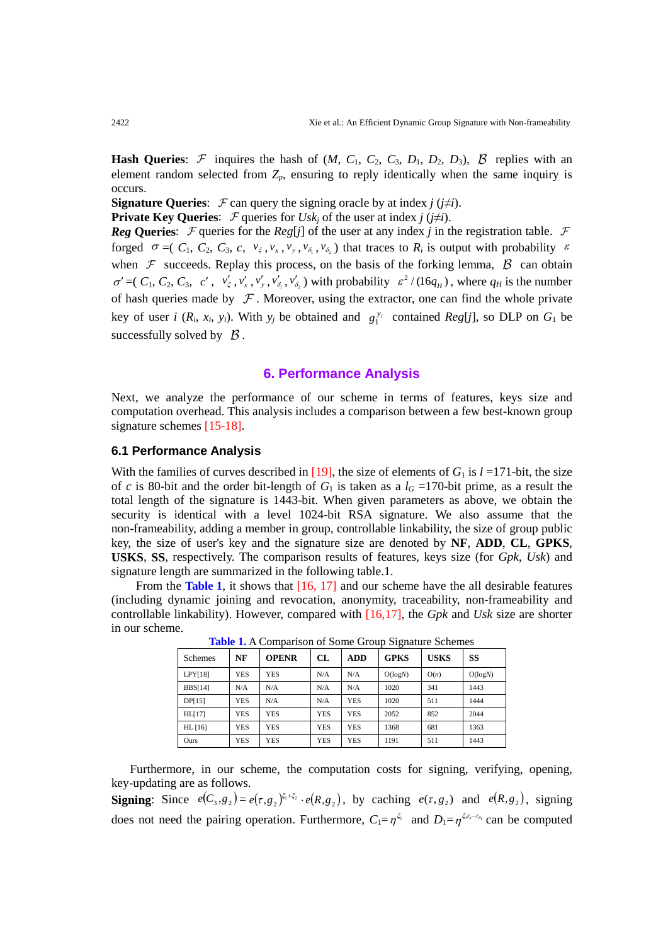**Hash Queries:** F inquires the hash of  $(M, C_1, C_2, C_3, D_1, D_2, D_3)$ ,  $\beta$  replies with an element random selected from  $Z_p$ , ensuring to reply identically when the same inquiry is occurs.

**Signature Oueries:**  $\mathcal{F}$  can query the signing oracle by at index *j* ( $j \neq i$ ).

**Private Key Queries:**  $\mathcal{F}$  queries for *Usk<sub>i</sub>* of the user at index *j* ( $j \neq i$ ).

*Reg* Queries:  $\mathcal F$  queries for the *Reg*[*j*] of the user at any index *j* in the registration table.  $\mathcal F$ forged  $\sigma = (C_1, C_2, C_3, c, v_\xi, v_x, v_y, v_{\delta_1}, v_{\delta_2})$  that traces to  $R_i$  is output with probability  $\varepsilon$ when  $\mathcal F$  succeeds. Replay this process, on the basis of the forking lemma,  $\beta$  can obtain  $\sigma' = (C_1, C_2, C_3, c', v'_\xi, v'_x, v'_y, v'_{\delta_1}, v'_{\delta_2})$  with probability  $\varepsilon^2/(16q_H)$ , where  $q_H$  is the number of hash queries made by  $\mathcal F$ . Moreover, using the extractor, one can find the whole private key of user *i* ( $R_i$ ,  $x_i$ ,  $y_i$ ). With  $y_j$  be obtained and  $g_1^{y_i}$  contained  $Reg[j]$ , so DLP on  $G_1$  be successfully solved by  $\beta$ .

## **6. Performance Analysis**

Next, we analyze the performance of our scheme in terms of features, keys size and computation overhead. This analysis includes a comparison between a few best-known group signature schemes [15-18].

## **6.1 Performance Analysis**

With the families of curves described in [19], the size of elements of  $G_1$  is  $l = 171$ -bit, the size of *c* is 80-bit and the order bit-length of  $G_1$  is taken as a  $l_G = 170$ -bit prime, as a result the total length of the signature is 1443-bit. When given parameters as above, we obtain the security is identical with a level 1024-bit RSA signature. We also assume that the non-frameability, adding a member in group, controllable linkability, the size of group public key, the size of user's key and the signature size are denoted by **NF**, **ADD**, **CL**, **GPKS**, **USKS**, **SS**, respectively. The comparison results of features, keys size (for *Gpk*, *Usk*) and signature length are summarized in the following table.1.

From the **Table 1**, it shows that [16, 17] and our scheme have the all desirable features (including dynamic joining and revocation, anonymity, traceability, non-frameability and controllable linkability). However, compared with [16,17], the *Gpk* and *Usk* size are shorter in our scheme.

|                |            |              |            |            | ---         |             |           |
|----------------|------------|--------------|------------|------------|-------------|-------------|-----------|
| <b>Schemes</b> | NF         | <b>OPENR</b> | CL         | <b>ADD</b> | <b>GPKS</b> | <b>USKS</b> | <b>SS</b> |
| LPY[18]        | <b>YES</b> | <b>YES</b>   | N/A        | N/A        | O(logN)     | O(n)        | O(logN)   |
| <b>BBS[14]</b> | N/A        | N/A          | N/A        | N/A        | 1020        | 341         | 1443      |
| DP[15]         | <b>YES</b> | N/A          | N/A        | <b>YES</b> | 1020        | 511         | 1444      |
| <b>HL[17]</b>  | <b>YES</b> | <b>YES</b>   | <b>YES</b> | <b>YES</b> | 2052        | 852         | 2044      |
| $HL$ [16]      | <b>YES</b> | <b>YES</b>   | <b>YES</b> | <b>YES</b> | 1368        | 681         | 1363      |
| Ours           | <b>YES</b> | <b>YES</b>   | <b>YES</b> | <b>YES</b> | 1191        | 511         | 1443      |

**Table 1.** A Comparison of Some Group Signature Schemes

Furthermore, in our scheme, the computation costs for signing, verifying, opening, key-updating are as follows.

**Signing**: Since  $e(C_3, g_2) = e(\tau, g_2)^{\xi_1 + \xi_2} \cdot e(R, g_2)$ , by caching  $e(\tau, g_2)$  and  $e(R, g_2)$ , signing does not need the pairing operation. Furthermore,  $C_1 = \eta^{\xi_1}$  and  $D_1 = \eta^{\xi_1 r_x - r_{\delta_1}}$  can be computed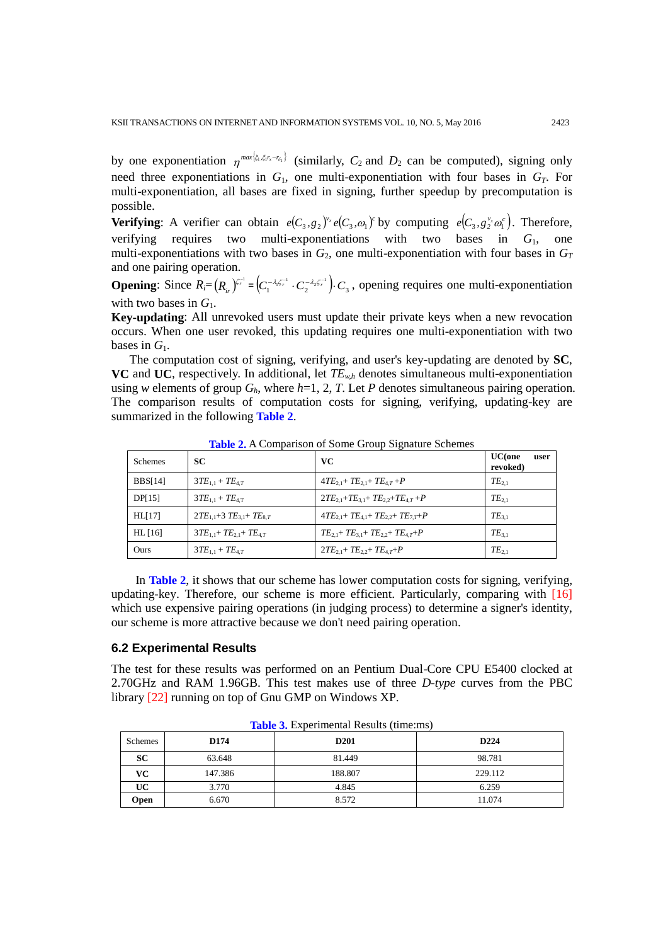by one exponentiation  $\eta^{max\{\xi_1,\xi_1\tau_s-\tau_{\delta_1}\}}$  (similarly,  $C_2$  and  $D_2$  can be computed), signing only need three exponentiations in  $G_1$ , one multi-exponentiation with four bases in  $G_T$ . For multi-exponentiation, all bases are fixed in signing, further speedup by precomputation is possible.

**Verifying:** A verifier can obtain  $e(C_3, g_2)^{v_2}e(C_3, \omega_1)^c$  by computing  $e(C_3, g_2^{v_2} \omega_1^c)$ . Therefore, verifying requires two multi-exponentiations with two bases in *G*1, one multi-exponentiations with two bases in  $G_2$ , one multi-exponentiation with four bases in  $G_T$ and one pairing operation.

**Opening:** Since  $R_i = (R_i - \int_1^{R_i} \int_1^{R_i} e^{-(\lambda_i \zeta_i - \lambda_i \zeta_i - \lambda_i \zeta_i - \lambda_i \zeta_i - \lambda_i \zeta_i - \lambda_i \zeta_i - \lambda_i \zeta_i - \lambda_i \zeta_i - \lambda_i \zeta_i - \lambda_i \zeta_i - \lambda_i \zeta_i - \lambda_i \zeta_i - \lambda_i \zeta_i - \lambda_i \zeta_i - \lambda_i \zeta_i - \lambda_i \zeta_i - \lambda_i \zeta_i - \lambda_i \zeta_i - \lambda_i \zeta_i - \lambda_i \zeta_i - \lambda_i \zeta_i - \lambda_i \zeta_i - \$ with two bases in  $G_1$ .

**Key-updating**: All unrevoked users must update their private keys when a new revocation occurs. When one user revoked, this updating requires one multi-exponentiation with two bases in *G*1.

The computation cost of signing, verifying, and user's key-updating are denoted by **SC**, **VC** and **UC**, respectively. In additional, let  $TE_{wh}$  denotes simultaneous multi-exponentiation using *w* elements of group  $G_h$ , where  $h=1, 2, T$ . Let *P* denotes simultaneous pairing operation. The comparison results of computation costs for signing, verifying, updating-key are summarized in the following **Table 2**.

| <b>Schemes</b> | <b>SC</b>                         | VC                                                  | <b>UC</b> (one<br>user<br>revoked) |
|----------------|-----------------------------------|-----------------------------------------------------|------------------------------------|
| <b>BBS[14]</b> | $3TE_{1.1} + TE_{4.7}$            | $4TE_{2,1}$ + $TE_{2,1}$ + $TE_{4,T}$ + $P$         | $TE_{2.1}$                         |
| DP[15]         | $3TE_{1.1} + TE_{4.7}$            | $2TE_{2,1} + TE_{3,1} + TE_{2,2} + TE_{4,7} + P$    | $TE_{2.1}$                         |
| HL[17]         | $2TE_{1,1}+3TE_{3,1}+TE_{8,T}$    | $4TE_{2,1} + TE_{4,1} + TE_{2,2} + TE_{7,1} + P$    | $TE_{3.1}$                         |
| $HL$ [16]      | $3TE_{1.1} + TE_{2.1} + TE_{4.7}$ | $TE_{21}$ + $TE_{31}$ + $TE_{22}$ + $TE_{47}$ + $P$ | $TE_{3.1}$                         |
| Ours           | $3TE_{1.1} + TE_{4.7}$            | $2TE_{2,1} + TE_{2,2} + TE_{4,7} + P$               | $TE_{2.1}$                         |

**Table 2.** A Comparison of Some Group Signature Schemes

In **Table 2**, it shows that our scheme has lower computation costs for signing, verifying, updating-key. Therefore, our scheme is more efficient. Particularly, comparing with [16] which use expensive pairing operations (in judging process) to determine a signer's identity, our scheme is more attractive because we don't need pairing operation.

#### **6.2 Experimental Results**

The test for these results was performed on an Pentium Dual-Core CPU E5400 clocked at 2.70GHz and RAM 1.96GB. This test makes use of three *D-type* curves from the PBC library [22] running on top of Gnu GMP on Windows XP.

| Schemes | D174    | D <sub>201</sub> | D <sub>224</sub> |
|---------|---------|------------------|------------------|
| SC      | 63.648  | 81.449           | 98.781           |
| VC.     | 147.386 | 188.807          | 229.112          |
| UC      | 3.770   | 4.845            | 6.259            |
| Open    | 6.670   | 8.572            | 11.074           |

**Table 3.** Experimental Results (time:ms)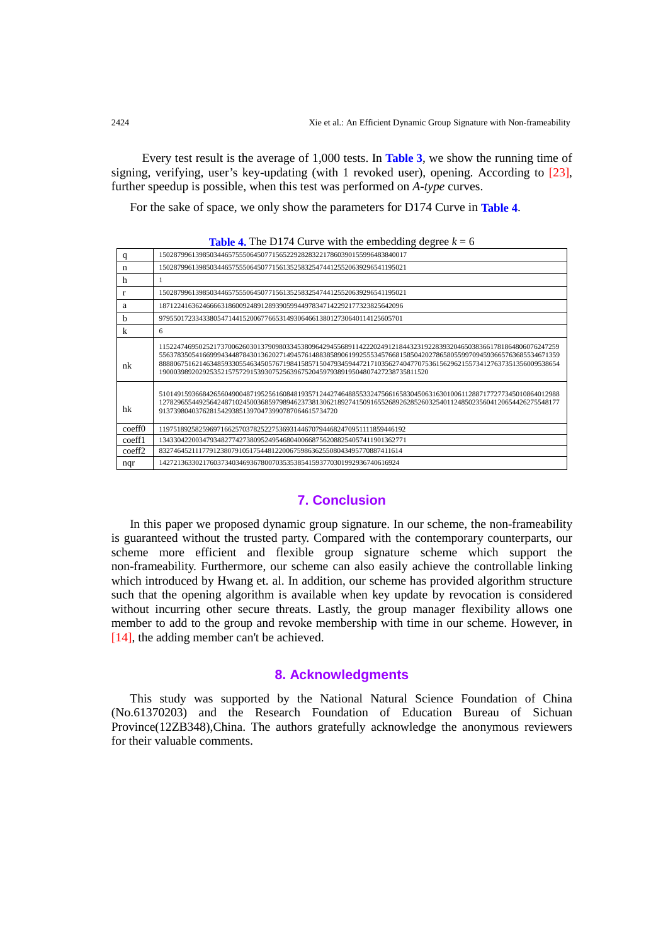Every test result is the average of 1,000 tests. In **Table 3**, we show the running time of signing, verifying, user's key-updating (with 1 revoked user), opening. According to [23], further speedup is possible, when this test was performed on *A-type* curves.

For the sake of space, we only show the parameters for D174 Curve in **Table 4**.

| <b>Table 4.</b> The D174 Curve with the embedding degree $k = 6$ |
|------------------------------------------------------------------|
|------------------------------------------------------------------|

| q                  | 15028799613985034465755506450771565229282832217860390155996483840017                                                                                                                                                                                                                                                                                                                                                             |
|--------------------|----------------------------------------------------------------------------------------------------------------------------------------------------------------------------------------------------------------------------------------------------------------------------------------------------------------------------------------------------------------------------------------------------------------------------------|
| n                  | 15028799613985034465755506450771561352583254744125520639296541195021                                                                                                                                                                                                                                                                                                                                                             |
| h                  | 1                                                                                                                                                                                                                                                                                                                                                                                                                                |
| r                  | 15028799613985034465755506450771561352583254744125520639296541195021                                                                                                                                                                                                                                                                                                                                                             |
| a                  | 1871224163624666631860092489128939059944978347142292177323825642096                                                                                                                                                                                                                                                                                                                                                              |
| h                  | 9795501723343380547144152006776653149306466138012730640114125605701                                                                                                                                                                                                                                                                                                                                                              |
| k                  | 6                                                                                                                                                                                                                                                                                                                                                                                                                                |
| nk                 | 11522474695025217370062603013790980334538096429455689114222024912184432319228393204650383661781864806076247259<br>55637835054166999434487843013620271494576148838589061992555345766815850420278658055997094593665763685534671359<br>88880675162146348593305546345057671984158571504793459447217103562740477075361562962155734127637351356009538654<br>19000398920292535215757291539307525639675204597938919504807427238735811520 |
| hk                 | 51014915936684265604900487195256160848193571244274648855332475661658304506316301006112887177277345010864012988<br>12782965544925642487102450036859798946237381306218927415091655268926285260325401124850235604120654426275548177<br>9137398040376281542938513970473990787064615734720                                                                                                                                            |
| coeff0             | 11975189258259697166257037825227536931446707944682470951111859446192                                                                                                                                                                                                                                                                                                                                                             |
| coeff1             | 13433042200347934827742738095249546804006687562088254057411901362771                                                                                                                                                                                                                                                                                                                                                             |
| coeff <sub>2</sub> | 8327464521117791238079105175448122006759863625508043495770887411614                                                                                                                                                                                                                                                                                                                                                              |
| nqr                | 142721363302176037340346936780070353538541593770301992936740616924                                                                                                                                                                                                                                                                                                                                                               |

#### **7. Conclusion**

In this paper we proposed dynamic group signature. In our scheme, the non-frameability is guaranteed without the trusted party. Compared with the contemporary counterparts, our scheme more efficient and flexible group signature scheme which support the non-frameability. Furthermore, our scheme can also easily achieve the controllable linking which introduced by Hwang et. al. In addition, our scheme has provided algorithm structure such that the opening algorithm is available when key update by revocation is considered without incurring other secure threats. Lastly, the group manager flexibility allows one member to add to the group and revoke membership with time in our scheme. However, in [14], the adding member can't be achieved.

## **8. Acknowledgments**

This study was supported by the National Natural Science Foundation of China (No.61370203) and the Research Foundation of Education Bureau of Sichuan Province(12ZB348),China. The authors gratefully acknowledge the anonymous reviewers for their valuable comments.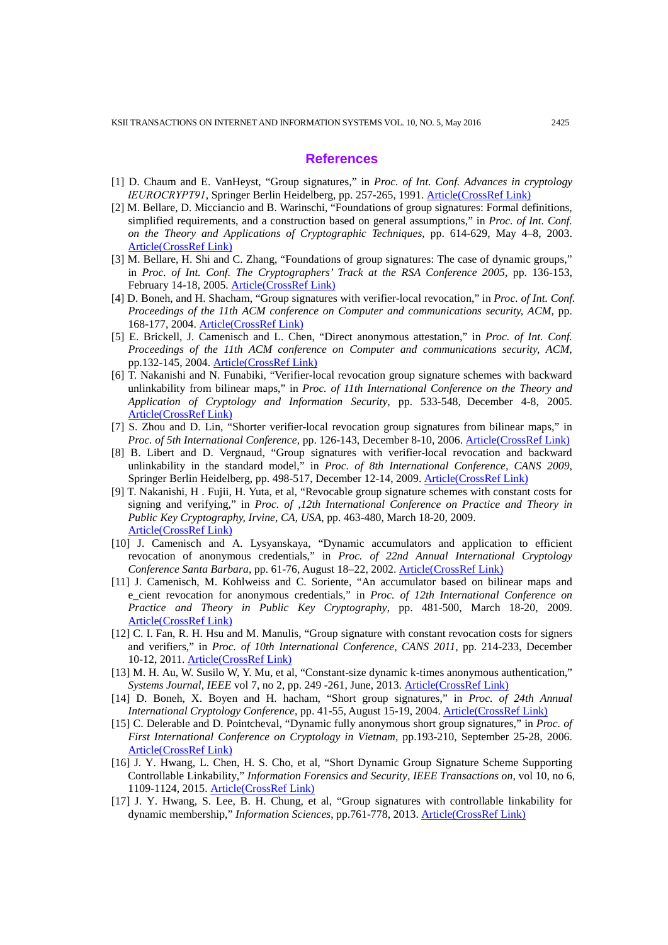#### **References**

- [1] D. Chaum and E. VanHeyst, "Group signatures," in *Proc. of Int. Conf. Advances in cryptology łEUROCRYPT91*, Springer Berlin Heidelberg, pp. 257-265, 1991. [Article\(CrossRef Link\)](http://dx.doi.org/doi:10.1007/978-1-4419-5906-5_208)
- [2] M. Bellare, D. Micciancio and B. Warinschi, "Foundations of group signatures: Formal definitions, simplified requirements, and a construction based on general assumptions," in *Proc. of Int. Conf. on the Theory and Applications of Cryptographic Techniques*, pp. 614-629, May 4–8, 2003. [Article\(CrossRef Link\)](http://dx.doi.org/doi:10.1007/3-540-39200-9_38)
- [3] M. Bellare, H. Shi and C. Zhang, "Foundations of group signatures: The case of dynamic groups," in *Proc. of Int. Conf. The Cryptographers' Track at the RSA Conference 2005*, pp. 136-153, February 14-18, 2005. [Article\(CrossRef Link\)](http://dx.doi.org/doi:10.1007/978-3-540-30574-3_11)
- [4] D. Boneh, and H. Shacham, "Group signatures with verifier-local revocation," in *Proc. of Int. Conf. Proceedings of the 11th ACM conference on Computer and communications security, ACM*, pp. 168-177, 2004. [Article\(CrossRef Link\)](http://dx.doi.org/doi:10.1145/1030083.1030106)
- [5] E. Brickell, J. Camenisch and L. Chen, "Direct anonymous attestation," in *Proc. of Int. Conf. Proceedings of the 11th ACM conference on Computer and communications security, ACM*, pp.132-145, 2004. [Article\(CrossRef Link\)](http://dx.doi.org/doi:10.1145/1030083.1030103)
- [6] T. Nakanishi and N. Funabiki, "Verifier-local revocation group signature schemes with backward unlinkability from bilinear maps," in *Proc. of 11th International Conference on the Theory and Application of Cryptology and Information Security*, pp. 533-548, December 4-8, 2005. [Article\(CrossRef Link\)](http://dx.doi.org/doi:10.1007/11593447_29)
- [7] S. Zhou and D. Lin, "Shorter verifier-local revocation group signatures from bilinear maps," in *Proc. of 5th International Conference*, pp. 126-143, December 8-10, 2006. [Article\(CrossRef Link\)](http://dx.doi.org/doi:10.1007/11935070_8)
- [8] B. Libert and D. Vergnaud, "Group signatures with verifier-local revocation and backward unlinkability in the standard model," in *Proc. of 8th International Conference, CANS 2009*, Springer Berlin Heidelberg, pp. 498-517, December 12-14, 2009. [Article\(CrossRef Link\)](http://dx.doi.org/%20doi:10.1007/978-3-642-10433-6_34)
- [9] T. Nakanishi, H . Fujii, H. Yuta, et al, "Revocable group signature schemes with constant costs for signing and verifying," in *Proc. of ,12th International Conference on Practice and Theory in Public Key Cryptography, Irvine, CA, USA*, pp. 463-480, March 18-20, 2009. [Article\(CrossRef Link\)](http://dx.doi.org/doi:10.1007/978-3-642-00468-1_26)
- [10] J. Camenisch and A. Lysyanskaya, "Dynamic accumulators and application to efficient revocation of anonymous credentials," in *Proc. of 22nd Annual International Cryptology Conference Santa Barbara*, pp. 61-76, August 18–22, 2002. [Article\(CrossRef Link\)](http://dx.doi.org/doi:10.1007/3-540-45708-9_5)
- [11] J. Camenisch, M. Kohlweiss and C. Soriente, "An accumulator based on bilinear maps and e\_cient revocation for anonymous credentials," in *Proc. of 12th International Conference on Practice and Theory in Public Key Cryptography*, pp. 481-500, March 18-20, 2009. [Article\(CrossRef Link\)](http://dx.doi.org/doi:10.1007/978-3-642-00468-1_27)
- [12] C. I. Fan, R. H. Hsu and M. Manulis, "Group signature with constant revocation costs for signers and verifiers," in *Proc. of 10th International Conference, CANS 2011*, pp. 214-233, December 10-12, 2011. [Article\(CrossRef Link\)](http://dx.doi.org/doi:10.1007/978-3-642-25513-7_16)
- [13] M. H. Au, W. Susilo W, Y. Mu, et al, "Constant-size dynamic k-times anonymous authentication," *Systems Journal, IEEE* vol 7, no 2, pp. 249 -261, June, 2013. **[Article\(CrossRef Link\)](http://dx.doi.org/%20doi:10.1109/JSYST.2012.2221931)**
- [14] D. Boneh, X. Boyen and H. hacham, "Short group signatures," in *Proc. of 24th Annual International Cryptology Conference*, pp. 41-55, August 15-19, 2004. [Article\(CrossRef Link\)](http://dx.doi.org/%20doi:10.1007/978-3-540-28628-8_3)
- [15] C. Delerable and D. Pointcheval, "Dynamic fully anonymous short group signatures," in *Proc. of First International Conference on Cryptology in Vietnam*, pp.193-210, September 25-28, 2006. [Article\(CrossRef Link\)](http://dx.doi.org/%20doi:10.1007/11958239_13)
- [16] J. Y. Hwang, L. Chen, H. S. Cho, et al, "Short Dynamic Group Signature Scheme Supporting Controllable Linkability," *Information Forensics and Security, IEEE Transactions on*, vol 10, no 6, 1109-1124, 2015. [Article\(CrossRef Link\)](http://dx.doi.org/%20doi:10.1109/TIFS.2015.2390497)
- [17] J. Y. Hwang, S. Lee, B. H. Chung, et al, "Group signatures with controllable linkability for dynamic membership," *Information Sciences*, pp.761-778, 2013. [Article\(CrossRef Link\)](http://dx.doi.org/%20doi:10.1016/j.ins.2012.07.065)